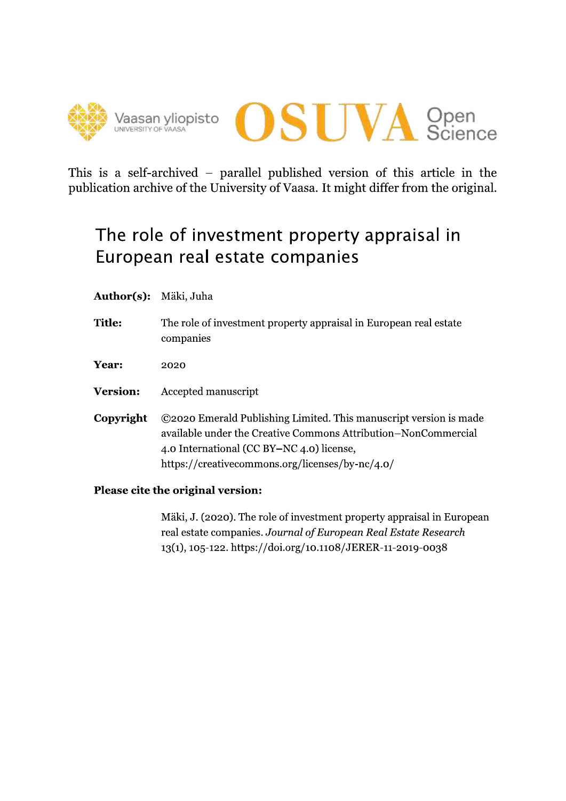



This is a self-archived – parallel published version of this article in the publication archive of the University of Vaasa. It might differ from the original.

# The role of investment property appraisal in European real estate companies

- Author(s): Mäki, Juha
- **Title:** The role of investment property appraisal in European real estate companies
- Year: 2020
- **Version:** Accepted manuscript
- Copyright ©2020 Emerald Publishing Limited. This manuscript version is made available under the Creative Commons Attribution-NonCommercial 4.0 International (CC BY-NC 4.0) license, https://creativecommons.org/licenses/by-nc/4.0/
- Please cite the original version:

Mäki, J. (2020). The role of investment property appraisal in European real estate companies. Journal of European Real Estate Research 13(1), 105-122. https://doi.org/10.1108/JERER-11-2019-0038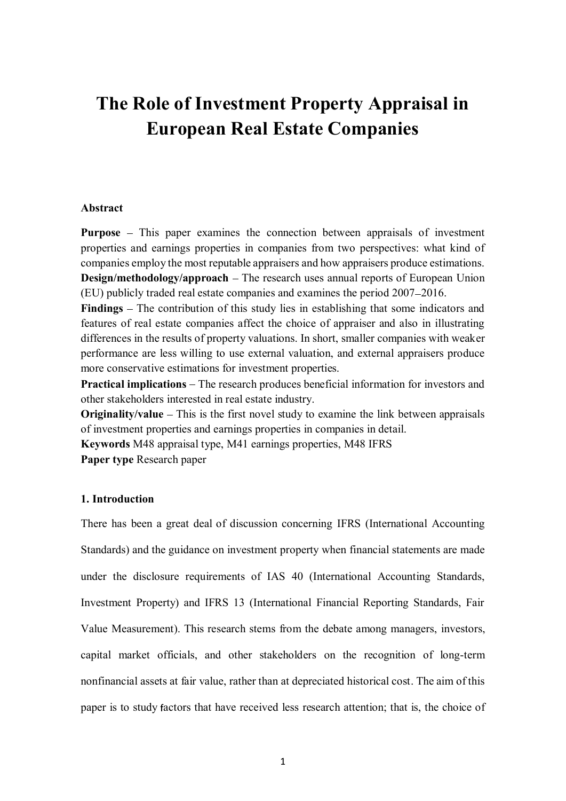# **The Role of Investment Property Appraisal in European Real Estate Companies**

#### **Abstract**

**Purpose** – This paper examines the connection between appraisals of investment properties and earnings properties in companies from two perspectives: what kind of companies employ the most reputable appraisers and how appraisers produce estimations. **Design/methodology/approach** – The research uses annual reports of European Union (EU) publicly traded real estate companies and examines the period 2007 2016.

**Findings** – The contribution of this study lies in establishing that some indicators and features of real estate companies affect the choice of appraiser and also in illustrating differences in the results of property valuations. In short, smaller companies with weaker performance are less willing to use external valuation, and external appraisers produce more conservative estimations for investment properties.

**Practical implications** – The research produces beneficial information for investors and other stakeholders interested in real estate industry.

**Originality/value** – This is the first novel study to examine the link between appraisals of investment properties and earnings properties in companies in detail.

**Keywords** M48 appraisal type, M41 earnings properties, M48 IFRS **Paper type** Research paper

### **1. Introduction**

There has been a great deal of discussion concerning IFRS (International Accounting Standards) and the guidance on investment property when financial statements are made under the disclosure requirements of IAS 40 (International Accounting Standards, Investment Property) and IFRS 13 (International Financial Reporting Standards, Fair Value Measurement). This research stems from the debate among managers, investors, capital market officials, and other stakeholders on the recognition of long-term nonfinancial assets at fair value, rather than at depreciated historical cost. The aim of this paper is to study actors that have received less research attention; that is, the choice of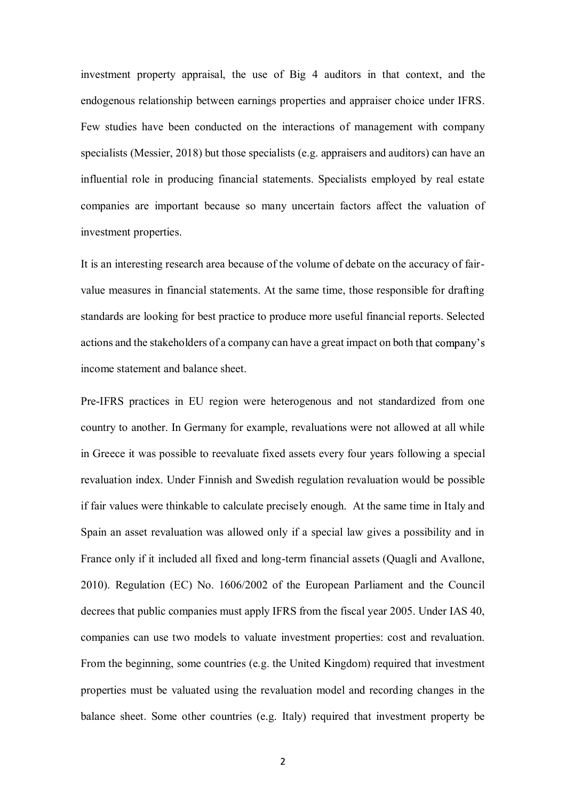investment property appraisal, the use of Big 4 auditors in that context, and the endogenous relationship between earnings properties and appraiser choice under IFRS. Few studies have been conducted on the interactions of management with company specialists (Messier, 2018) but those specialists (e.g. appraisers and auditors) can have an influential role in producing financial statements. Specialists employed by real estate companies are important because so many uncertain factors affect the valuation of investment properties.

It is an interesting research area because of the volume of debate on the accuracy of fairvalue measures in financial statements. At the same time, those responsible for drafting standards are looking for best practice to produce more useful financial reports. Selected actions and the stakeholders of a company can have a great impact on both that company's income statement and balance sheet.

Pre-IFRS practices in EU region were heterogenous and not standardized from one country to another. In Germany for example, revaluations were not allowed at all while in Greece it was possible to reevaluate fixed assets every four years following a special revaluation index. Under Finnish and Swedish regulation revaluation would be possible if fair values were thinkable to calculate precisely enough. At the same time in Italy and Spain an asset revaluation was allowed only if a special law gives a possibility and in France only if it included all fixed and long-term financial assets (Quagli and Avallone, 2010). Regulation (EC) No. 1606/2002 of the European Parliament and the Council decrees that public companies must apply IFRS from the fiscal year 2005. Under IAS 40, companies can use two models to valuate investment properties: cost and revaluation. From the beginning, some countries (e.g. the United Kingdom) required that investment properties must be valuated using the revaluation model and recording changes in the balance sheet. Some other countries (e.g. Italy) required that investment property be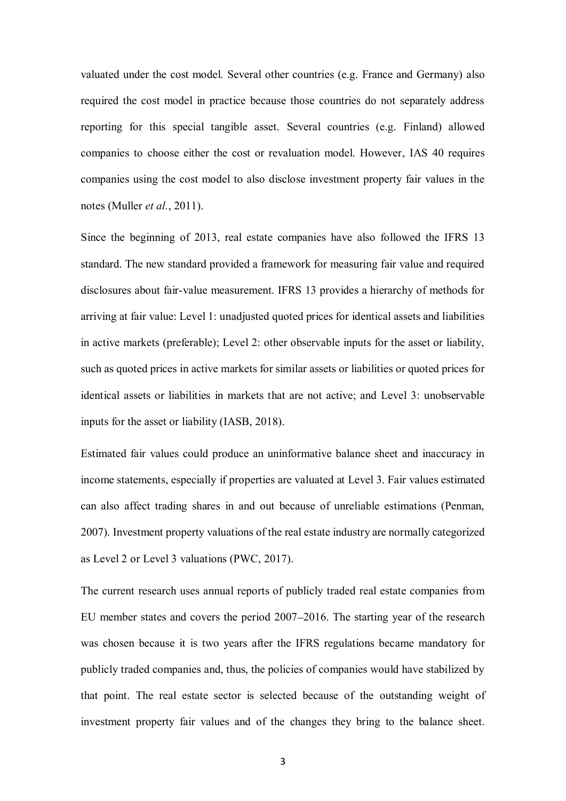valuated under the cost model. Several other countries (e.g. France and Germany) also required the cost model in practice because those countries do not separately address reporting for this special tangible asset. Several countries (e.g. Finland) allowed companies to choose either the cost or revaluation model. However, IAS 40 requires companies using the cost model to also disclose investment property fair values in the notes (Muller *et al.*, 2011).

Since the beginning of 2013, real estate companies have also followed the IFRS 13 standard. The new standard provided a framework for measuring fair value and required disclosures about fair-value measurement. IFRS 13 provides a hierarchy of methods for arriving at fair value: Level 1: unadjusted quoted prices for identical assets and liabilities in active markets (preferable); Level 2: other observable inputs for the asset or liability, such as quoted prices in active markets for similar assets or liabilities or quoted prices for identical assets or liabilities in markets that are not active; and Level 3: unobservable inputs for the asset or liability (IASB, 2018).

Estimated fair values could produce an uninformative balance sheet and inaccuracy in income statements, especially if properties are valuated at Level 3. Fair values estimated can also affect trading shares in and out because of unreliable estimations (Penman, 2007). Investment property valuations of the real estate industry are normally categorized as Level 2 or Level 3 valuations (PWC, 2017).

The current research uses annual reports of publicly traded real estate companies from EU member states and covers the period 2007 2016. The starting year of the research was chosen because it is two years after the IFRS regulations became mandatory for publicly traded companies and, thus, the policies of companies would have stabilized by that point. The real estate sector is selected because of the outstanding weight of investment property fair values and of the changes they bring to the balance sheet.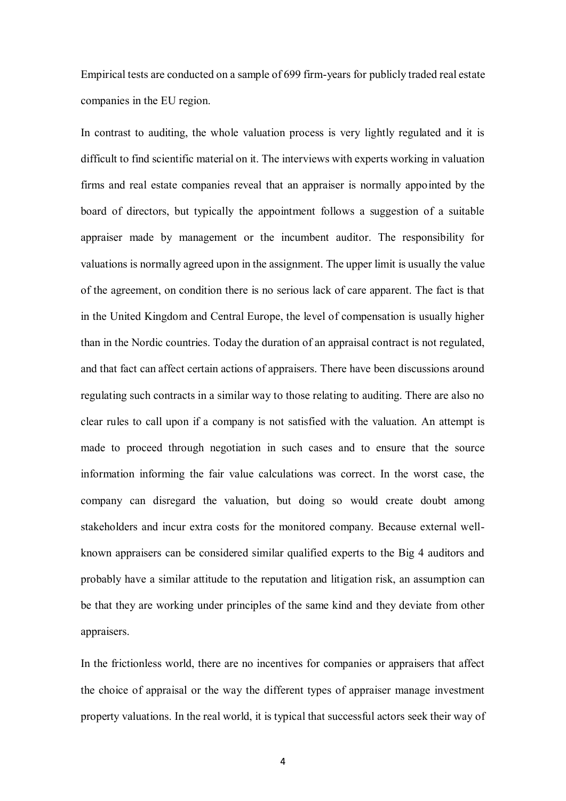Empirical tests are conducted on a sample of 699 firm-years for publicly traded real estate companies in the EU region.

In contrast to auditing, the whole valuation process is very lightly regulated and it is difficult to find scientific material on it. The interviews with experts working in valuation firms and real estate companies reveal that an appraiser is normally appointed by the board of directors, but typically the appointment follows a suggestion of a suitable appraiser made by management or the incumbent auditor. The responsibility for valuations is normally agreed upon in the assignment. The upper limit is usually the value of the agreement, on condition there is no serious lack of care apparent. The fact is that in the United Kingdom and Central Europe, the level of compensation is usually higher than in the Nordic countries. Today the duration of an appraisal contract is not regulated, and that fact can affect certain actions of appraisers. There have been discussions around regulating such contracts in a similar way to those relating to auditing. There are also no clear rules to call upon if a company is not satisfied with the valuation. An attempt is made to proceed through negotiation in such cases and to ensure that the source information informing the fair value calculations was correct. In the worst case, the company can disregard the valuation, but doing so would create doubt among stakeholders and incur extra costs for the monitored company. Because external wellknown appraisers can be considered similar qualified experts to the Big 4 auditors and probably have a similar attitude to the reputation and litigation risk, an assumption can be that they are working under principles of the same kind and they deviate from other appraisers.

In the frictionless world, there are no incentives for companies or appraisers that affect the choice of appraisal or the way the different types of appraiser manage investment property valuations. In the real world, it is typical that successful actors seek their way of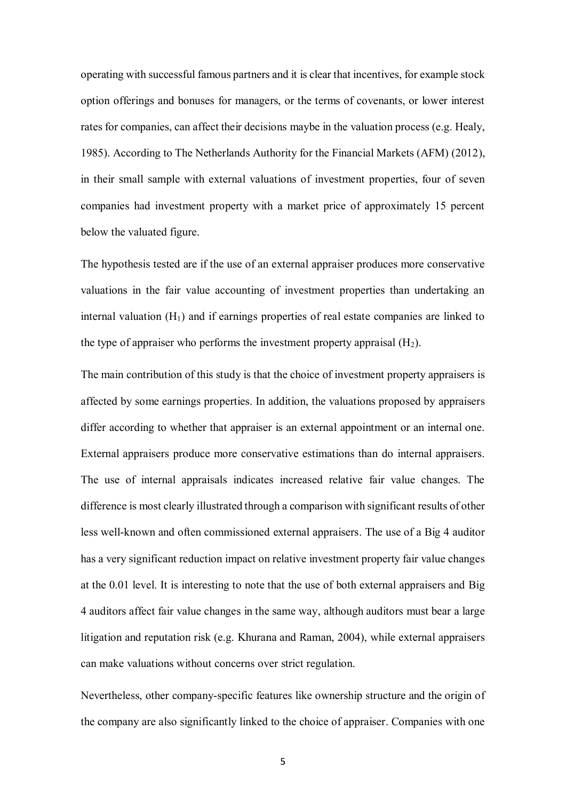operating with successful famous partners and it is clear that incentives, for example stock option offerings and bonuses for managers, or the terms of covenants, or lower interest rates for companies, can affect their decisions maybe in the valuation process (e.g. Healy, 1985). According to The Netherlands Authority for the Financial Markets (AFM) (2012), in their small sample with external valuations of investment properties, four of seven companies had investment property with a market price of approximately 15 percent below the valuated figure.

The hypothesis tested are if the use of an external appraiser produces more conservative valuations in the fair value accounting of investment properties than undertaking an internal valuation  $(H_1)$  and if earnings properties of real estate companies are linked to the type of appraiser who performs the investment property appraisal  $(H_2)$ .

The main contribution of this study is that the choice of investment property appraisers is affected by some earnings properties. In addition, the valuations proposed by appraisers differ according to whether that appraiser is an external appointment or an internal one. External appraisers produce more conservative estimations than do internal appraisers. The use of internal appraisals indicates increased relative fair value changes. The difference is most clearly illustrated through a comparison with significant results of other less well-known and often commissioned external appraisers. The use of a Big 4 auditor has a very significant reduction impact on relative investment property fair value changes at the 0.01 level. It is interesting to note that the use of both external appraisers and Big 4 auditors affect fair value changes in the same way, although auditors must bear a large litigation and reputation risk (e.g. Khurana and Raman, 2004), while external appraisers can make valuations without concerns over strict regulation.

Nevertheless, other company-specific features like ownership structure and the origin of the company are also significantly linked to the choice of appraiser. Companies with one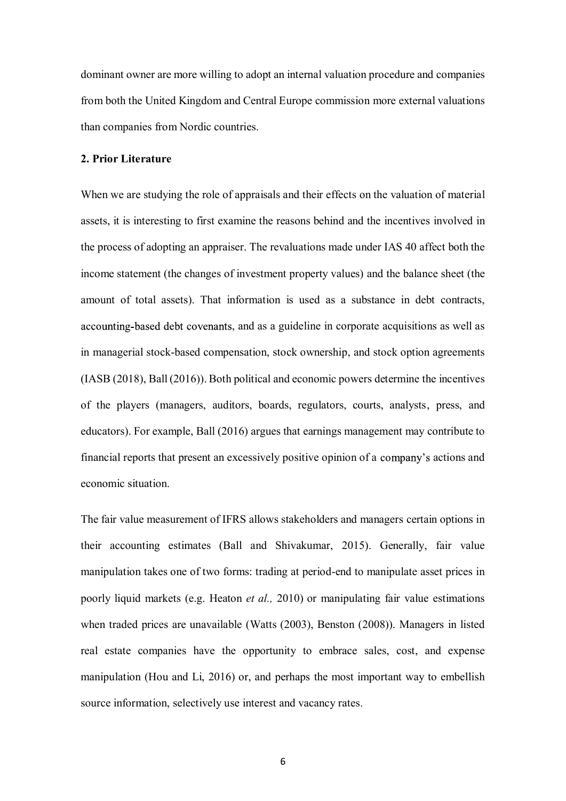dominant owner are more willing to adopt an internal valuation procedure and companies from both the United Kingdom and Central Europe commission more external valuations than companies from Nordic countries.

#### **2. Prior Literature**

When we are studying the role of appraisals and their effects on the valuation of material assets, it is interesting to first examine the reasons behind and the incentives involved in the process of adopting an appraiser. The revaluations made under IAS 40 affect both the income statement (the changes of investment property values) and the balance sheet (the amount of total assets). That information is used as a substance in debt contracts, accounting-based debt covenants, and as a guideline in corporate acquisitions as well as in managerial stock-based compensation, stock ownership, and stock option agreements (IASB (2018), Ball (2016)). Both political and economic powers determine the incentives of the players (managers, auditors, boards, regulators, courts, analysts, press, and educators). For example, Ball (2016) argues that earnings management may contribute to financial reports that present an excessively positive opinion of a company's actions and economic situation.

The fair value measurement of IFRS allows stakeholders and managers certain options in their accounting estimates (Ball and Shivakumar, 2015). Generally, fair value manipulation takes one of two forms: trading at period-end to manipulate asset prices in poorly liquid markets (e.g. Heaton *et al.,* 2010) or manipulating fair value estimations when traded prices are unavailable (Watts (2003), Benston (2008)). Managers in listed real estate companies have the opportunity to embrace sales, cost, and expense manipulation (Hou and Li, 2016) or, and perhaps the most important way to embellish source information, selectively use interest and vacancy rates.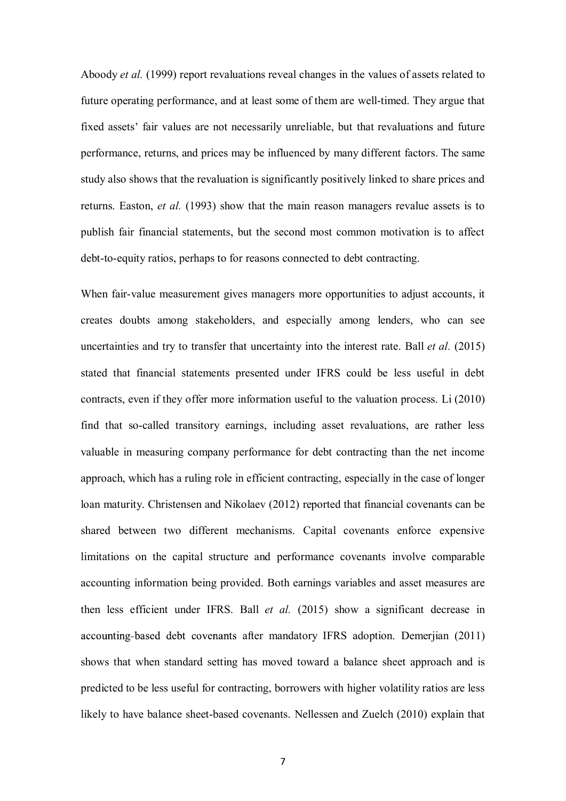Aboody *et al.* (1999) report revaluations reveal changes in the values of assets related to future operating performance, and at least some of them are well-timed. They argue that fixed assets' fair values are not necessarily unreliable, but that revaluations and future performance, returns, and prices may be influenced by many different factors. The same study also shows that the revaluation is significantly positively linked to share prices and returns. Easton, *et al.* (1993) show that the main reason managers revalue assets is to publish fair financial statements, but the second most common motivation is to affect debt-to-equity ratios, perhaps to for reasons connected to debt contracting.

When fair-value measurement gives managers more opportunities to adjust accounts, it creates doubts among stakeholders, and especially among lenders, who can see uncertainties and try to transfer that uncertainty into the interest rate. Ball *et al.* (2015) stated that financial statements presented under IFRS could be less useful in debt contracts, even if they offer more information useful to the valuation process. Li (2010) find that so-called transitory earnings, including asset revaluations, are rather less valuable in measuring company performance for debt contracting than the net income approach, which has a ruling role in efficient contracting, especially in the case of longer loan maturity. Christensen and Nikolaev (2012) reported that financial covenants can be shared between two different mechanisms. Capital covenants enforce expensive limitations on the capital structure and performance covenants involve comparable accounting information being provided. Both earnings variables and asset measures are then less efficient under IFRS. Ball *et al.* (2015) show a significant decrease in accounting-based debt covenants after mandatory IFRS adoption. Demerjian (2011) shows that when standard setting has moved toward a balance sheet approach and is predicted to be less useful for contracting, borrowers with higher volatility ratios are less likely to have balance sheet-based covenants. Nellessen and Zuelch (2010) explain that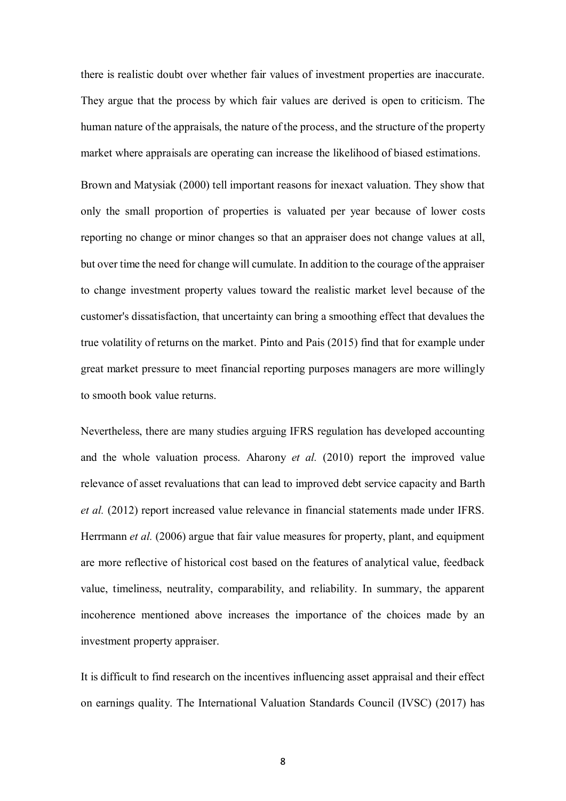there is realistic doubt over whether fair values of investment properties are inaccurate. They argue that the process by which fair values are derived is open to criticism. The human nature of the appraisals, the nature of the process, and the structure of the property market where appraisals are operating can increase the likelihood of biased estimations.

Brown and Matysiak (2000) tell important reasons for inexact valuation. They show that only the small proportion of properties is valuated per year because of lower costs reporting no change or minor changes so that an appraiser does not change values at all, but over time the need for change will cumulate. In addition to the courage of the appraiser to change investment property values toward the realistic market level because of the customer's dissatisfaction, that uncertainty can bring a smoothing effect that devalues the true volatility of returns on the market. Pinto and Pais (2015) find that for example under great market pressure to meet financial reporting purposes managers are more willingly to smooth book value returns.

Nevertheless, there are many studies arguing IFRS regulation has developed accounting and the whole valuation process. Aharony *et al.* (2010) report the improved value relevance of asset revaluations that can lead to improved debt service capacity and Barth *et al.* (2012) report increased value relevance in financial statements made under IFRS. Herrmann *et al.* (2006) argue that fair value measures for property, plant, and equipment are more reflective of historical cost based on the features of analytical value, feedback value, timeliness, neutrality, comparability, and reliability. In summary, the apparent incoherence mentioned above increases the importance of the choices made by an investment property appraiser.

It is difficult to find research on the incentives influencing asset appraisal and their effect on earnings quality. The International Valuation Standards Council (IVSC) (2017) has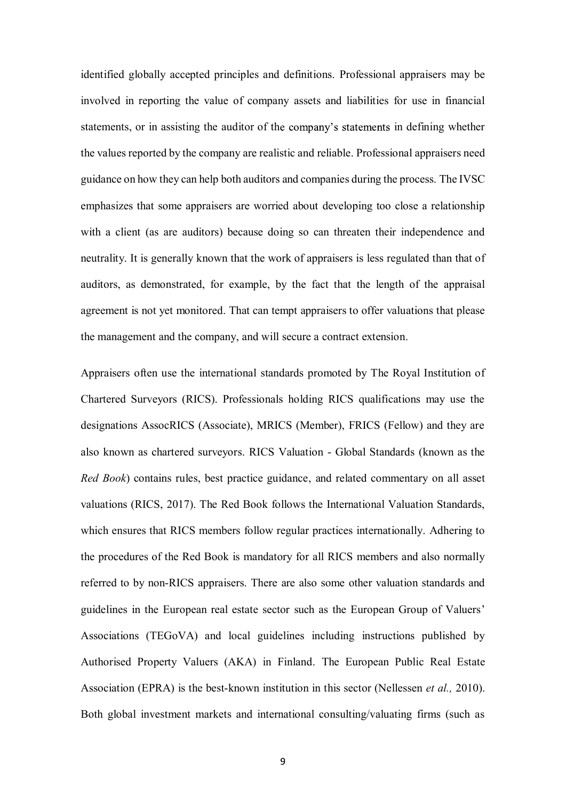identified globally accepted principles and definitions. Professional appraisers may be involved in reporting the value of company assets and liabilities for use in financial statements, or in assisting the auditor of the company's statements in defining whether the values reported by the company are realistic and reliable. Professional appraisers need guidance on how they can help both auditors and companies during the process. The IVSC emphasizes that some appraisers are worried about developing too close a relationship with a client (as are auditors) because doing so can threaten their independence and neutrality. It is generally known that the work of appraisers is less regulated than that of auditors, as demonstrated, for example, by the fact that the length of the appraisal agreement is not yet monitored. That can tempt appraisers to offer valuations that please the management and the company, and will secure a contract extension.

Appraisers often use the international standards promoted by The Royal Institution of Chartered Surveyors (RICS). Professionals holding RICS qualifications may use the designations AssocRICS (Associate), MRICS (Member), FRICS (Fellow) and they are also known as chartered surveyors. RICS Valuation - Global Standards (known as the *Red Book*) contains rules, best practice guidance, and related commentary on all asset valuations (RICS, 2017). The Red Book follows the International Valuation Standards, which ensures that RICS members follow regular practices internationally. Adhering to the procedures of the Red Book is mandatory for all RICS members and also normally referred to by non-RICS appraisers. There are also some other valuation standards and guidelines in the European real estate sector such as the European Group of Valuers Associations (TEGoVA) and local guidelines including instructions published by Authorised Property Valuers (AKA) in Finland. The European Public Real Estate Association (EPRA) is the best-known institution in this sector (Nellessen *et al.,* 2010). Both global investment markets and international consulting/valuating firms (such as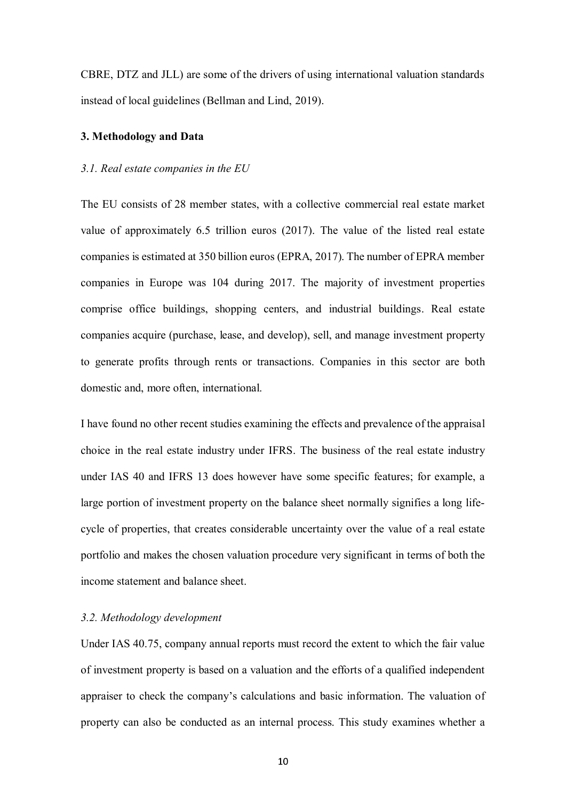CBRE, DTZ and JLL) are some of the drivers of using international valuation standards instead of local guidelines (Bellman and Lind, 2019).

## **3. Methodology and Data**

#### *3.1. Real estate companies in the EU*

The EU consists of 28 member states, with a collective commercial real estate market value of approximately 6.5 trillion euros (2017). The value of the listed real estate companies is estimated at 350 billion euros (EPRA, 2017). The number of EPRA member companies in Europe was 104 during 2017. The majority of investment properties comprise office buildings, shopping centers, and industrial buildings. Real estate companies acquire (purchase, lease, and develop), sell, and manage investment property to generate profits through rents or transactions. Companies in this sector are both domestic and, more often, international.

I have found no other recent studies examining the effects and prevalence of the appraisal choice in the real estate industry under IFRS. The business of the real estate industry under IAS 40 and IFRS 13 does however have some specific features; for example, a large portion of investment property on the balance sheet normally signifies a long lifecycle of properties, that creates considerable uncertainty over the value of a real estate portfolio and makes the chosen valuation procedure very significant in terms of both the income statement and balance sheet.

#### *3.2. Methodology development*

Under IAS 40.75, company annual reports must record the extent to which the fair value of investment property is based on a valuation and the efforts of a qualified independent appraiser to check the company's calculations and basic information. The valuation of property can also be conducted as an internal process. This study examines whether a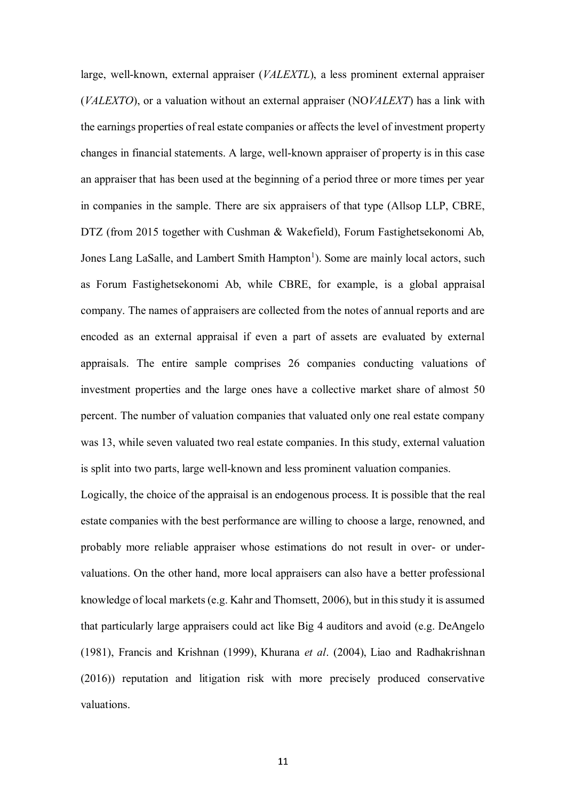large, well-known, external appraiser (*VALEXTL*), a less prominent external appraiser (*VALEXTO*), or a valuation without an external appraiser (NO*VALEXT*) has a link with the earnings properties of real estate companies or affects the level of investment property changes in financial statements. A large, well-known appraiser of property is in this case an appraiser that has been used at the beginning of a period three or more times per year in companies in the sample. There are six appraisers of that type (Allsop LLP, CBRE, DTZ (from 2015 together with Cushman & Wakefield), Forum Fastighetsekonomi Ab, Jones Lang LaSalle, and Lambert Smith Hampton<sup>1</sup>). Some are mainly local actors, such as Forum Fastighetsekonomi Ab, while CBRE, for example, is a global appraisal company. The names of appraisers are collected from the notes of annual reports and are encoded as an external appraisal if even a part of assets are evaluated by external appraisals. The entire sample comprises 26 companies conducting valuations of investment properties and the large ones have a collective market share of almost 50 percent. The number of valuation companies that valuated only one real estate company was 13, while seven valuated two real estate companies. In this study, external valuation is split into two parts, large well-known and less prominent valuation companies.

Logically, the choice of the appraisal is an endogenous process. It is possible that the real estate companies with the best performance are willing to choose a large, renowned, and probably more reliable appraiser whose estimations do not result in over- or undervaluations. On the other hand, more local appraisers can also have a better professional knowledge of local markets (e.g. Kahr and Thomsett, 2006), but in this study it is assumed that particularly large appraisers could act like Big 4 auditors and avoid (e.g. DeAngelo (1981), Francis and Krishnan (1999), Khurana *et al*. (2004), Liao and Radhakrishnan (2016)) reputation and litigation risk with more precisely produced conservative valuations.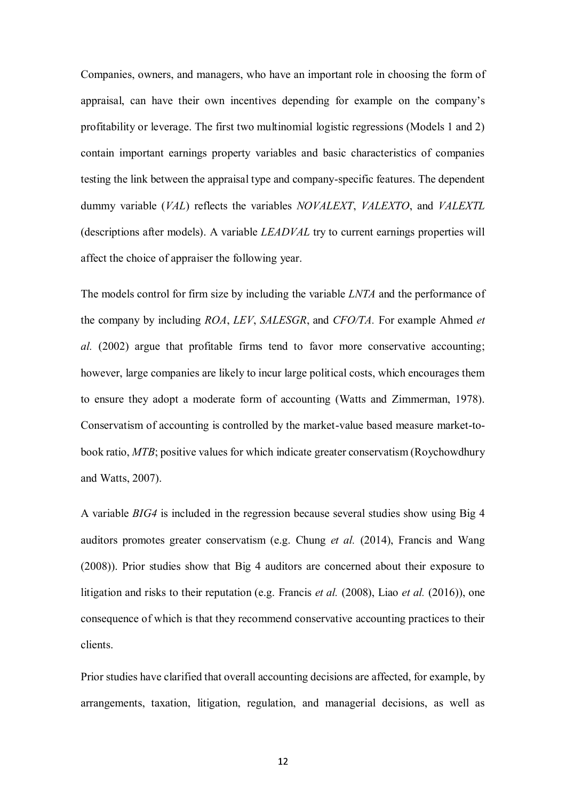Companies, owners, and managers, who have an important role in choosing the form of appraisal, can have their own incentives depending for example on the company's profitability or leverage. The first two multinomial logistic regressions (Models 1 and 2) contain important earnings property variables and basic characteristics of companies testing the link between the appraisal type and company-specific features. The dependent dummy variable (*VAL*) reflects the variables *NOVALEXT*, *VALEXTO*, and *VALEXTL* (descriptions after models). A variable *LEADVAL* try to current earnings properties will affect the choice of appraiser the following year.

The models control for firm size by including the variable *LNTA* and the performance of the company by including *ROA*, *LEV*, *SALESGR*, and *CFO/TA.* For example Ahmed *et al.* (2002) argue that profitable firms tend to favor more conservative accounting; however, large companies are likely to incur large political costs, which encourages them to ensure they adopt a moderate form of accounting (Watts and Zimmerman, 1978). Conservatism of accounting is controlled by the market-value based measure market-tobook ratio, *MTB*; positive values for which indicate greater conservatism (Roychowdhury and Watts, 2007).

A variable *BIG4* is included in the regression because several studies show using Big 4 auditors promotes greater conservatism (e.g. Chung *et al.* (2014), Francis and Wang (2008)). Prior studies show that Big 4 auditors are concerned about their exposure to litigation and risks to their reputation (e.g. Francis *et al.* (2008), Liao *et al.* (2016)), one consequence of which is that they recommend conservative accounting practices to their clients.

Prior studies have clarified that overall accounting decisions are affected, for example, by arrangements, taxation, litigation, regulation, and managerial decisions, as well as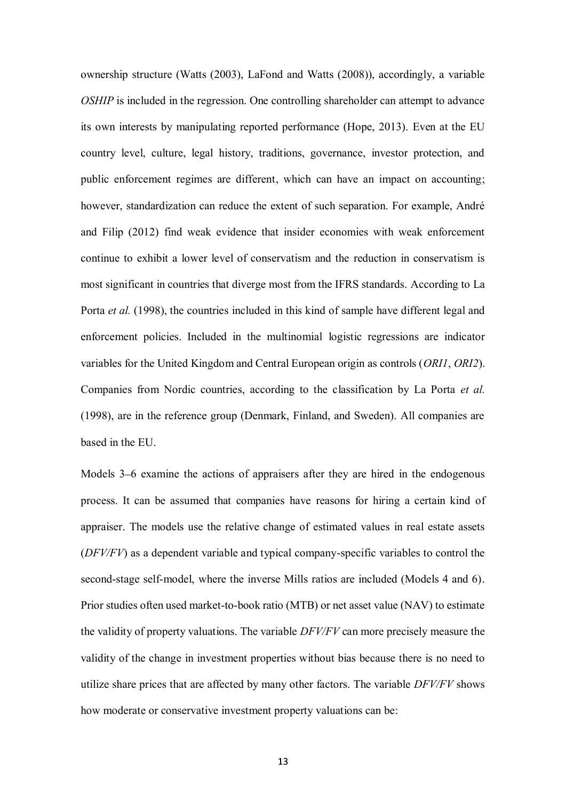ownership structure (Watts (2003), LaFond and Watts (2008)), accordingly, a variable *OSHIP* is included in the regression. One controlling shareholder can attempt to advance its own interests by manipulating reported performance (Hope, 2013). Even at the EU country level, culture, legal history, traditions, governance, investor protection, and public enforcement regimes are different, which can have an impact on accounting; however, standardization can reduce the extent of such separation. For example, André and Filip (2012) find weak evidence that insider economies with weak enforcement continue to exhibit a lower level of conservatism and the reduction in conservatism is most significant in countries that diverge most from the IFRS standards. According to La Porta *et al.* (1998), the countries included in this kind of sample have different legal and enforcement policies. Included in the multinomial logistic regressions are indicator variables for the United Kingdom and Central European origin as controls (*ORI1*, *ORI2*). Companies from Nordic countries, according to the classification by La Porta *et al.* (1998), are in the reference group (Denmark, Finland, and Sweden). All companies are based in the EU.

Models 3–6 examine the actions of appraisers after they are hired in the endogenous process. It can be assumed that companies have reasons for hiring a certain kind of appraiser. The models use the relative change of estimated values in real estate assets (*DFV/FV*) as a dependent variable and typical company-specific variables to control the second-stage self-model, where the inverse Mills ratios are included (Models 4 and 6). Prior studies often used market-to-book ratio (MTB) or net asset value (NAV) to estimate the validity of property valuations. The variable *DFV/FV* can more precisely measure the validity of the change in investment properties without bias because there is no need to utilize share prices that are affected by many other factors. The variable *DFV/FV* shows how moderate or conservative investment property valuations can be: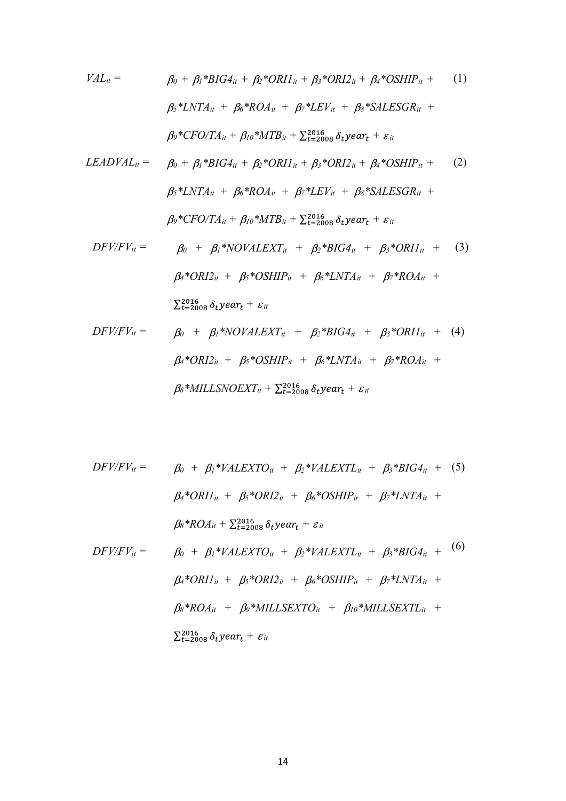$$
VAL_{it} = \beta_0 + \beta_l * BIG4_{it} + \beta_2 * ORII_{it} + \beta_3 * ORI2_{it} + \beta_4 * OSHIP_{it} + (1)
$$
  

$$
\beta_5 * LNTA_{it} + \beta_6 * ROA_{it} + \beta_7 * LEV_{it} + \beta_8 * SALESGR_{it} +
$$
  

$$
\beta_9 * CFO/TA_{it} + \beta_{l0} * MTB_{it} + \sum_{t=2008}^{2016} \delta_t year_t + \varepsilon_{it}
$$

$$
LEADVAL_{it} = \beta_0 + \beta_l * BIG4_{it} + \beta_2 * ORII_{it} + \beta_3 * ORI2_{it} + \beta_4 * OSHIP_{it} + (2)
$$
  

$$
\beta_5 * LNTA_{it} + \beta_6 * ROA_{it} + \beta_7 * LEV_{it} + \beta_8 * SALESGR_{it} +
$$
  

$$
\beta_9 * CFO/TA_{it} + \beta_{10} * MTB_{it} + \sum_{t=2008}^{2016} \delta_t year_t + \varepsilon_{it}
$$

$$
DFV/FV_{it} = \beta_0 + \beta_l * NOVALEXT_{it} + \beta_2 * BIG4_{it} + \beta_3 * ORII_{it} + (3)
$$
  

$$
\beta_i * ORI2_{it} + \beta_5 * OSHIP_{it} + \beta_6 * LNTA_{it} + \beta_7 * ROA_{it} +
$$
  

$$
\sum_{t=2008}^{2016} \delta_t year_t + \varepsilon_{it}
$$

$$
DFV/FV_{it} = \beta_0 + \beta_l * NOVALEXT_{it} + \beta_2 * BIG4_{it} + \beta_3 * ORII_{it} + (4)
$$
  

$$
\beta_i * ORI2_{it} + \beta_5 * OSHIP_{it} + \beta_6 * LNTA_{it} + \beta_7 * ROA_{it} +
$$
  

$$
\beta_8 * MILLSNOEXT_{it} + \sum_{t=2008}^{2016} \delta_t year_t + \varepsilon_{it}
$$

$$
DFV/FV_{it} = \beta_{0} + \beta_{l} * VALEXTO_{it} + \beta_{2} * VALEXTL_{it} + \beta_{3} * BIG4_{it} + (5)
$$
\n
$$
\beta_{4} * ORII_{it} + \beta_{5} * ORI2_{it} + \beta_{6} * OSHIP_{it} + \beta_{7} * LNTA_{it} +
$$
\n
$$
\beta_{8} * ROA_{it} + \sum_{t=2008}^{2016} \delta_{t} year_{t} + \varepsilon_{it}
$$
\n
$$
DFV/FV_{it} = \beta_{0} + \beta_{l} * VALEXTO_{it} + \beta_{2} * VALEXTL_{it} + \beta_{3} * BIG4_{it} + (6)
$$
\n
$$
\beta_{4} * ORII_{it} + \beta_{5} * ORI2_{it} + \beta_{6} * OSHIP_{it} + \beta_{7} * LNTA_{it} +
$$
\n
$$
\beta_{8} * ROA_{it} + \beta_{9} * MILLSEXTO_{it} + \beta_{10} * MILLSEXTL_{it} +
$$

 $\sum_{t=2008}^{2016} \delta_t$ year<sub>t</sub> +  $\varepsilon_{it}$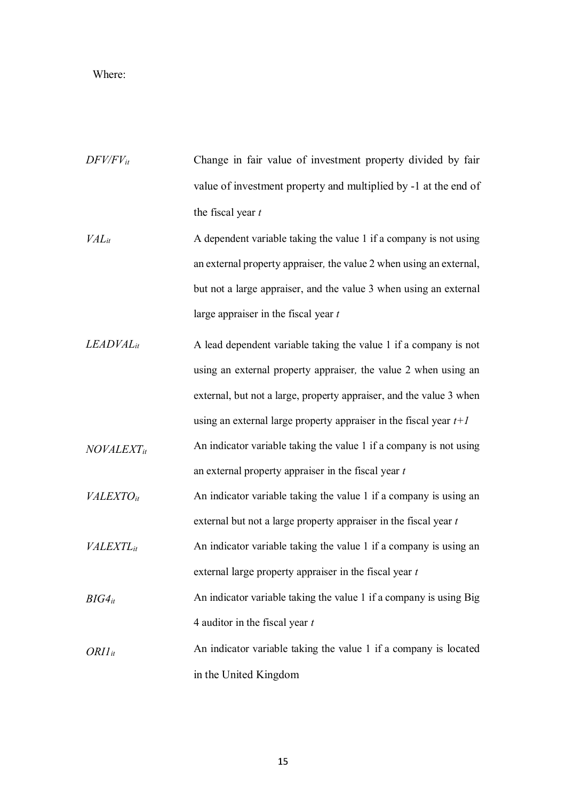# Where:

| $DFV/FV_{it}$                | Change in fair value of investment property divided by fair         |
|------------------------------|---------------------------------------------------------------------|
|                              | value of investment property and multiplied by -1 at the end of     |
|                              | the fiscal year $t$                                                 |
| $VAL_{it}$                   | A dependent variable taking the value 1 if a company is not using   |
|                              | an external property appraiser, the value 2 when using an external, |
|                              | but not a large appraiser, and the value 3 when using an external   |
|                              | large appraiser in the fiscal year $t$                              |
| $LEADVAL_{it}$               | A lead dependent variable taking the value 1 if a company is not    |
|                              | using an external property appraiser, the value 2 when using an     |
|                              | external, but not a large, property appraiser, and the value 3 when |
|                              | using an external large property appraiser in the fiscal year $t+1$ |
| $NOVALEXT_{it}$              | An indicator variable taking the value 1 if a company is not using  |
|                              | an external property appraiser in the fiscal year $t$               |
| VALEXTO <sub>it</sub>        | An indicator variable taking the value 1 if a company is using an   |
|                              | external but not a large property appraiser in the fiscal year $t$  |
| <b>VALEXTL</b> <sub>it</sub> | An indicator variable taking the value 1 if a company is using an   |
|                              | external large property appraiser in the fiscal year $t$            |
| $BIG4_{it}$                  | An indicator variable taking the value 1 if a company is using Big  |
|                              | 4 auditor in the fiscal year $t$                                    |
| $ORII_{it}$                  | An indicator variable taking the value 1 if a company is located    |
|                              | in the United Kingdom                                               |

15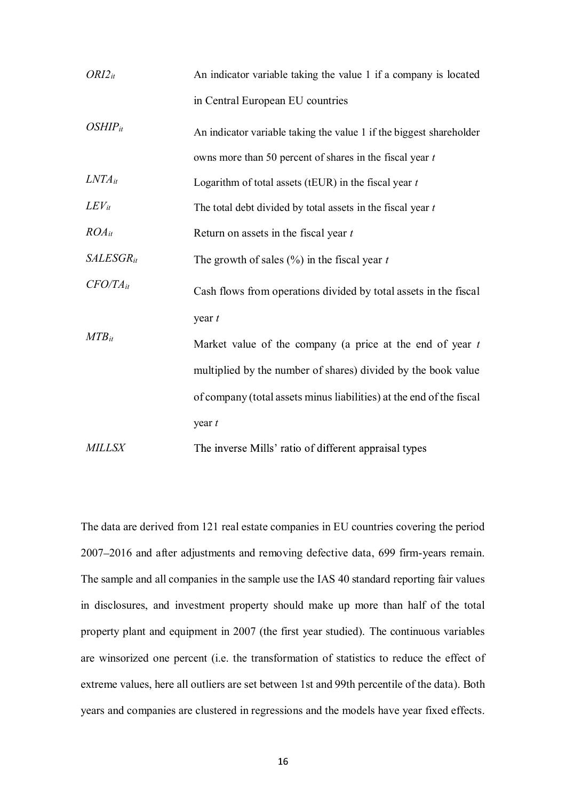| $ORI2_{it}$    | An indicator variable taking the value 1 if a company is located     |
|----------------|----------------------------------------------------------------------|
|                | in Central European EU countries                                     |
| $OSHIP_{it}$   | An indicator variable taking the value 1 if the biggest shareholder  |
|                | owns more than 50 percent of shares in the fiscal year $t$           |
| $LNTA_{it}$    | Logarithm of total assets (tEUR) in the fiscal year $t$              |
| $LEV_{it}$     | The total debt divided by total assets in the fiscal year $t$        |
| $ROA_{it}$     | Return on assets in the fiscal year $t$                              |
| $SALESGR_{it}$ | The growth of sales $(\%)$ in the fiscal year t                      |
| $CFO/TA_{it}$  | Cash flows from operations divided by total assets in the fiscal     |
|                | year $t$                                                             |
| $MTB_{it}$     | Market value of the company (a price at the end of year $t$          |
|                | multiplied by the number of shares) divided by the book value        |
|                | of company (total assets minus liabilities) at the end of the fiscal |
|                | year $t$                                                             |
| <b>MILLSX</b>  | The inverse Mills' ratio of different appraisal types                |

The data are derived from 121 real estate companies in EU countries covering the period 2007 2016 and after adjustments and removing defective data, 699 firm-years remain. The sample and all companies in the sample use the IAS 40 standard reporting fair values in disclosures, and investment property should make up more than half of the total property plant and equipment in 2007 (the first year studied). The continuous variables are winsorized one percent (i.e. the transformation of statistics to reduce the effect of extreme values, here all outliers are set between 1st and 99th percentile of the data). Both years and companies are clustered in regressions and the models have year fixed effects.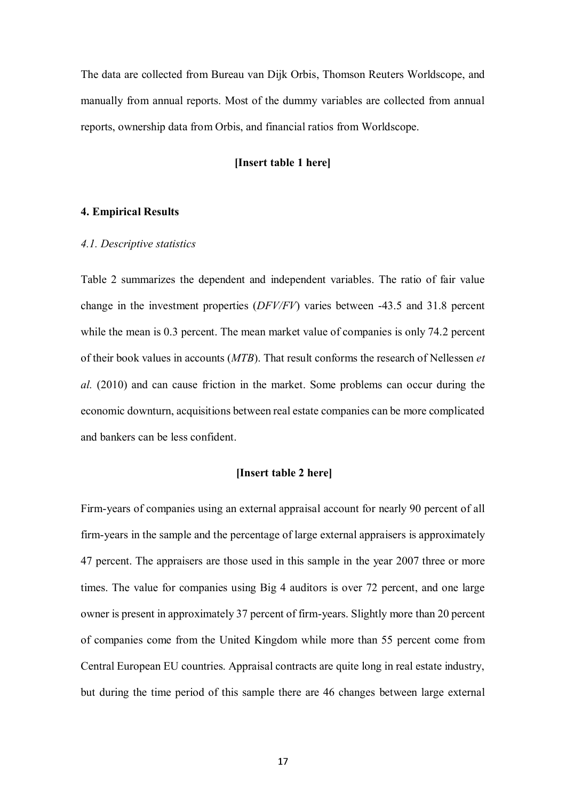The data are collected from Bureau van Dijk Orbis, Thomson Reuters Worldscope, and manually from annual reports. Most of the dummy variables are collected from annual reports, ownership data from Orbis, and financial ratios from Worldscope.

## **[Insert table 1 here]**

#### **4. Empirical Results**

#### *4.1. Descriptive statistics*

Table 2 summarizes the dependent and independent variables. The ratio of fair value change in the investment properties (*DFV/FV*) varies between -43.5 and 31.8 percent while the mean is 0.3 percent. The mean market value of companies is only 74.2 percent of their book values in accounts (*MTB*). That result conforms the research of Nellessen *et al.* (2010) and can cause friction in the market. Some problems can occur during the economic downturn, acquisitions between real estate companies can be more complicated and bankers can be less confident.

### **[Insert table 2 here]**

Firm-years of companies using an external appraisal account for nearly 90 percent of all firm-years in the sample and the percentage of large external appraisers is approximately 47 percent. The appraisers are those used in this sample in the year 2007 three or more times. The value for companies using Big 4 auditors is over 72 percent, and one large owner is present in approximately 37 percent of firm-years. Slightly more than 20 percent of companies come from the United Kingdom while more than 55 percent come from Central European EU countries. Appraisal contracts are quite long in real estate industry, but during the time period of this sample there are 46 changes between large external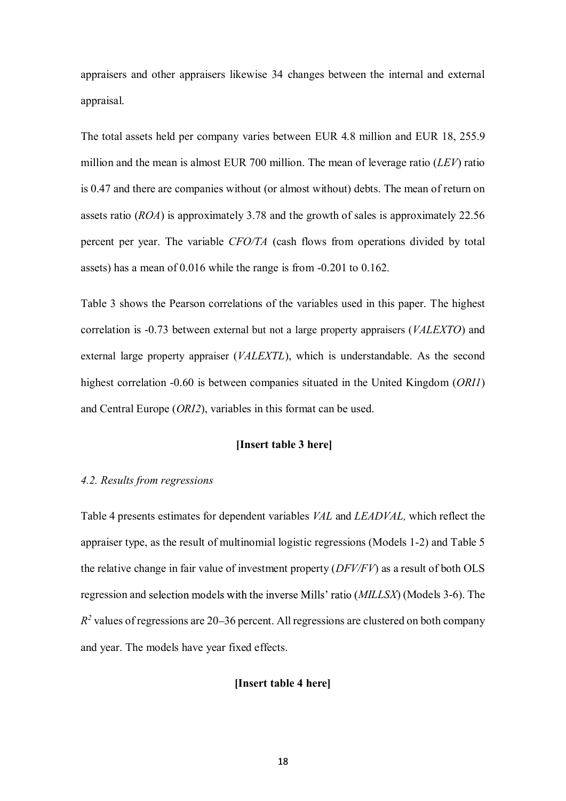appraisers and other appraisers likewise 34 changes between the internal and external appraisal.

The total assets held per company varies between EUR 4.8 million and EUR 18, 255.9 million and the mean is almost EUR 700 million. The mean of leverage ratio (*LEV*) ratio is 0.47 and there are companies without (or almost without) debts. The mean of return on assets ratio (*ROA*) is approximately 3.78 and the growth of sales is approximately 22.56 percent per year. The variable *CFO/TA* (cash flows from operations divided by total assets) has a mean of 0.016 while the range is from -0.201 to 0.162.

Table 3 shows the Pearson correlations of the variables used in this paper. The highest correlation is -0.73 between external but not a large property appraisers (*VALEXTO*) and external large property appraiser (*VALEXTL*), which is understandable. As the second highest correlation -0.60 is between companies situated in the United Kingdom (*ORI1*) and Central Europe (*ORI2*), variables in this format can be used.

## **[Insert table 3 here]**

#### *4.2. Results from regressions*

Table 4 presents estimates for dependent variables *VAL* and *LEADVAL,* which reflect the appraiser type, as the result of multinomial logistic regressions (Models 1-2) and Table 5 the relative change in fair value of investment property (*DFV/FV*) as a result of both OLS regression and selection models with the inverse Mills' ratio *(MILLSX)* (Models 3-6). The  $R<sup>2</sup>$  values of regressions are 20–36 percent. All regressions are clustered on both company and year. The models have year fixed effects.

## **[Insert table 4 here]**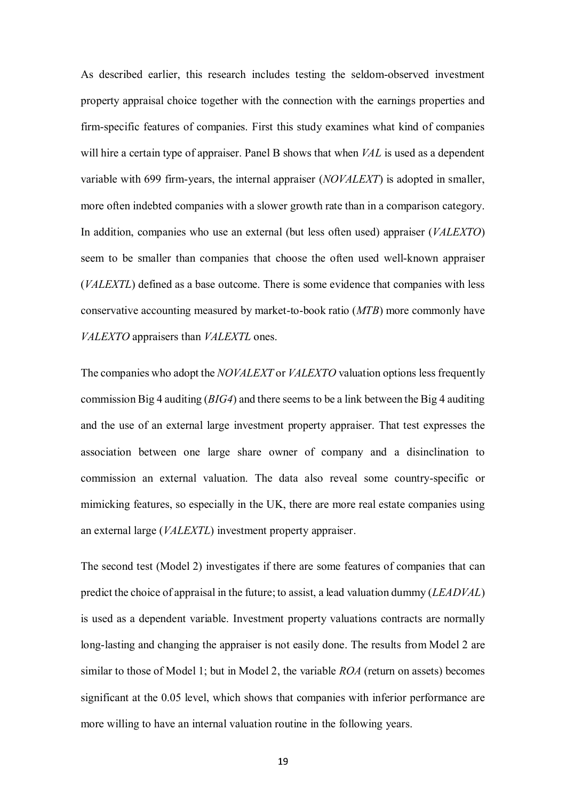As described earlier, this research includes testing the seldom-observed investment property appraisal choice together with the connection with the earnings properties and firm-specific features of companies. First this study examines what kind of companies will hire a certain type of appraiser. Panel B shows that when *VAL* is used as a dependent variable with 699 firm-years, the internal appraiser (*NOVALEXT*) is adopted in smaller, more often indebted companies with a slower growth rate than in a comparison category. In addition, companies who use an external (but less often used) appraiser (*VALEXTO*) seem to be smaller than companies that choose the often used well-known appraiser (*VALEXTL*) defined as a base outcome. There is some evidence that companies with less conservative accounting measured by market-to-book ratio (*MTB*) more commonly have *VALEXTO* appraisers than *VALEXTL* ones.

The companies who adopt the *NOVALEXT* or *VALEXTO* valuation options less frequently commission Big 4 auditing (*BIG4*) and there seems to be a link between the Big 4 auditing and the use of an external large investment property appraiser. That test expresses the association between one large share owner of company and a disinclination to commission an external valuation. The data also reveal some country-specific or mimicking features, so especially in the UK, there are more real estate companies using an external large (*VALEXTL*) investment property appraiser.

The second test (Model 2) investigates if there are some features of companies that can predict the choice of appraisal in the future; to assist, a lead valuation dummy (*LEADVAL*) is used as a dependent variable. Investment property valuations contracts are normally long-lasting and changing the appraiser is not easily done. The results from Model 2 are similar to those of Model 1; but in Model 2, the variable *ROA* (return on assets) becomes significant at the 0.05 level, which shows that companies with inferior performance are more willing to have an internal valuation routine in the following years.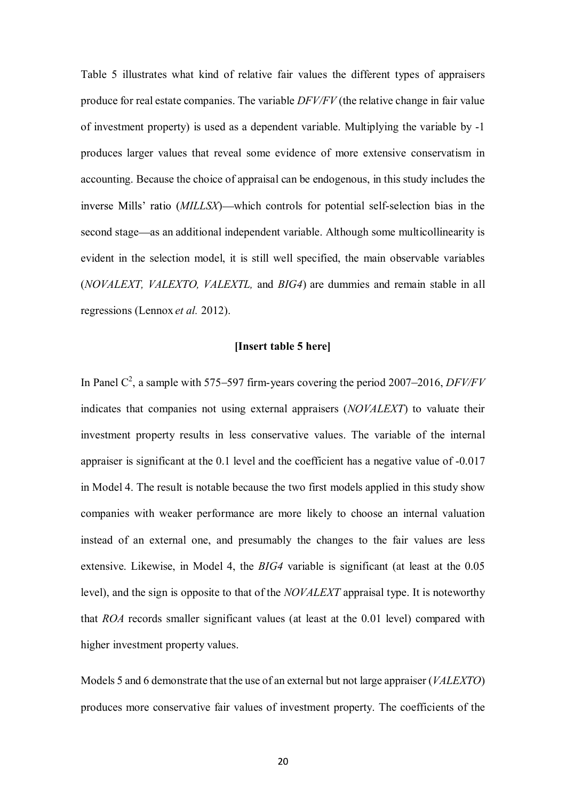Table 5 illustrates what kind of relative fair values the different types of appraisers produce for real estate companies. The variable *DFV/FV* (the relative change in fair value of investment property) is used as a dependent variable. Multiplying the variable by -1 produces larger values that reveal some evidence of more extensive conservatism in accounting. Because the choice of appraisal can be endogenous, in this study includes the inverse Mills' ratio (*MILLSX*)—which controls for potential self-selection bias in the second stage—as an additional independent variable. Although some multicollinearity is evident in the selection model, it is still well specified, the main observable variables (*NOVALEXT, VALEXTO, VALEXTL,* and *BIG4*) are dummies and remain stable in all regressions (Lennox *et al.* 2012).

### **[Insert table 5 here]**

In Panel  $C^2$ , a sample with 575–597 firm-years covering the period 2007–2016, *DFV/FV* indicates that companies not using external appraisers (*NOVALEXT*) to valuate their investment property results in less conservative values. The variable of the internal appraiser is significant at the 0.1 level and the coefficient has a negative value of -0.017 in Model 4. The result is notable because the two first models applied in this study show companies with weaker performance are more likely to choose an internal valuation instead of an external one, and presumably the changes to the fair values are less extensive. Likewise, in Model 4, the *BIG4* variable is significant (at least at the 0.05 level), and the sign is opposite to that of the *NOVALEXT* appraisal type. It is noteworthy that *ROA* records smaller significant values (at least at the 0.01 level) compared with higher investment property values.

Models 5 and 6 demonstrate that the use of an external but not large appraiser (*VALEXTO*) produces more conservative fair values of investment property. The coefficients of the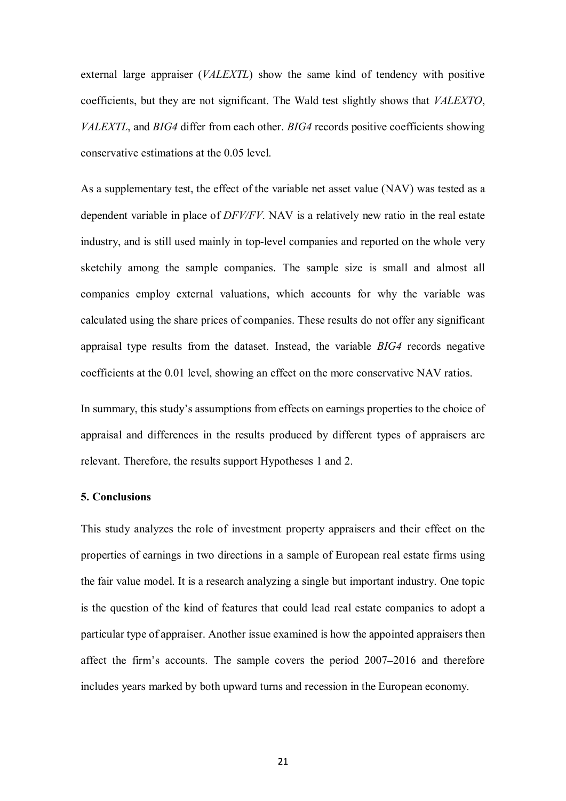external large appraiser (*VALEXTL*) show the same kind of tendency with positive coefficients, but they are not significant. The Wald test slightly shows that *VALEXTO*, *VALEXTL*, and *BIG4* differ from each other. *BIG4* records positive coefficients showing conservative estimations at the 0.05 level.

As a supplementary test, the effect of the variable net asset value (NAV) was tested as a dependent variable in place of *DFV/FV*. NAV is a relatively new ratio in the real estate industry, and is still used mainly in top-level companies and reported on the whole very sketchily among the sample companies. The sample size is small and almost all companies employ external valuations, which accounts for why the variable was calculated using the share prices of companies. These results do not offer any significant appraisal type results from the dataset. Instead, the variable *BIG4* records negative coefficients at the 0.01 level, showing an effect on the more conservative NAV ratios.

In summary, this study's assumptions from effects on earnings properties to the choice of appraisal and differences in the results produced by different types of appraisers are relevant. Therefore, the results support Hypotheses 1 and 2.

#### **5. Conclusions**

This study analyzes the role of investment property appraisers and their effect on the properties of earnings in two directions in a sample of European real estate firms using the fair value model. It is a research analyzing a single but important industry. One topic is the question of the kind of features that could lead real estate companies to adopt a particular type of appraiser. Another issue examined is how the appointed appraisers then affect the firm's accounts. The sample covers the period  $2007-2016$  and therefore includes years marked by both upward turns and recession in the European economy.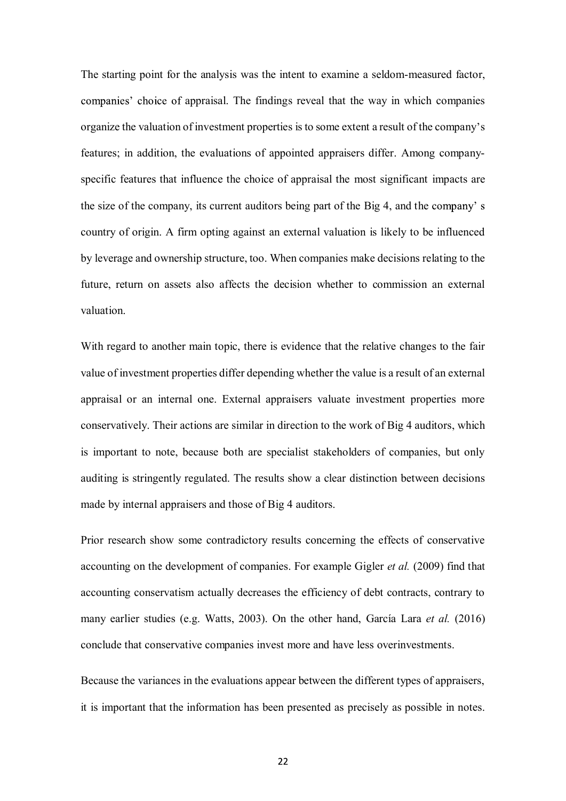The starting point for the analysis was the intent to examine a seldom-measured factor, companies' choice of appraisal. The findings reveal that the way in which companies organize the valuation of investment properties is to some extent a result of the company's features; in addition, the evaluations of appointed appraisers differ. Among companyspecific features that influence the choice of appraisal the most significant impacts are the size of the company, its current auditors being part of the Big 4, and the country of origin. A firm opting against an external valuation is likely to be influenced by leverage and ownership structure, too. When companies make decisions relating to the future, return on assets also affects the decision whether to commission an external valuation.

With regard to another main topic, there is evidence that the relative changes to the fair value of investment properties differ depending whether the value is a result of an external appraisal or an internal one. External appraisers valuate investment properties more conservatively. Their actions are similar in direction to the work of Big 4 auditors, which is important to note, because both are specialist stakeholders of companies, but only auditing is stringently regulated. The results show a clear distinction between decisions made by internal appraisers and those of Big 4 auditors.

Prior research show some contradictory results concerning the effects of conservative accounting on the development of companies. For example Gigler *et al.* (2009) find that accounting conservatism actually decreases the efficiency of debt contracts, contrary to many earlier studies (e.g. Watts, 2003). On the other hand, García Lara *et al.* (2016) conclude that conservative companies invest more and have less overinvestments.

Because the variances in the evaluations appear between the different types of appraisers, it is important that the information has been presented as precisely as possible in notes.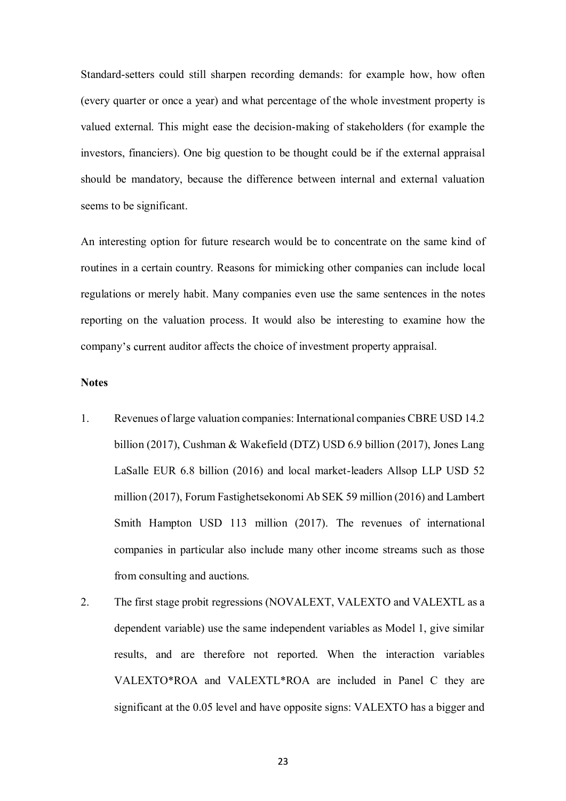Standard-setters could still sharpen recording demands: for example how, how often (every quarter or once a year) and what percentage of the whole investment property is valued external. This might ease the decision-making of stakeholders (for example the investors, financiers). One big question to be thought could be if the external appraisal should be mandatory, because the difference between internal and external valuation seems to be significant.

An interesting option for future research would be to concentrate on the same kind of routines in a certain country. Reasons for mimicking other companies can include local regulations or merely habit. Many companies even use the same sentences in the notes reporting on the valuation process. It would also be interesting to examine how the company's current auditor affects the choice of investment property appraisal.

## **Notes**

- 1. Revenues of large valuation companies: International companies CBRE USD 14.2 billion (2017), Cushman & Wakefield (DTZ) USD 6.9 billion (2017), Jones Lang LaSalle EUR 6.8 billion (2016) and local market-leaders Allsop LLP USD 52 million (2017), Forum Fastighetsekonomi Ab SEK 59 million (2016) and Lambert Smith Hampton USD 113 million (2017). The revenues of international companies in particular also include many other income streams such as those from consulting and auctions.
- 2. The first stage probit regressions (NOVALEXT, VALEXTO and VALEXTL as a dependent variable) use the same independent variables as Model 1, give similar results, and are therefore not reported. When the interaction variables VALEXTO\*ROA and VALEXTL\*ROA are included in Panel C they are significant at the 0.05 level and have opposite signs: VALEXTO has a bigger and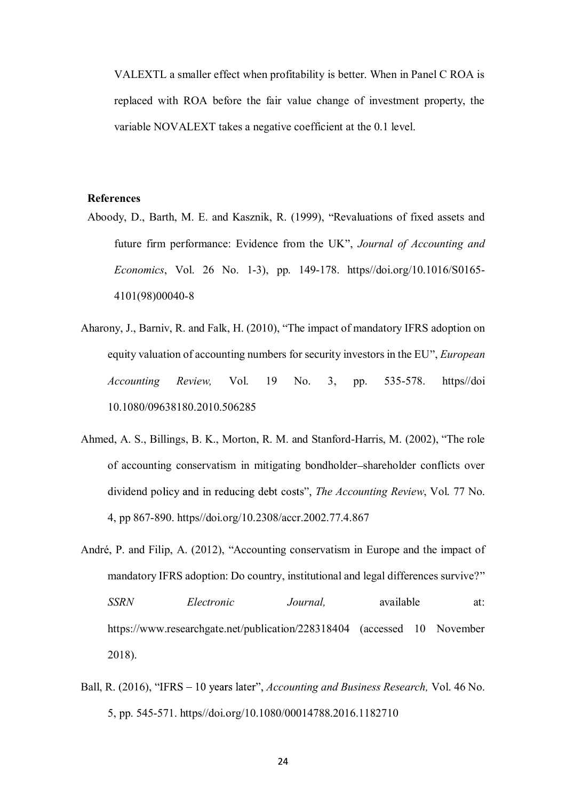VALEXTL a smaller effect when profitability is better. When in Panel C ROA is replaced with ROA before the fair value change of investment property, the variable NOVALEXT takes a negative coefficient at the 0.1 level.

## **References**

- Aboody, D., Barth, M. E. and Kasznik, R. (1999), "Revaluations of fixed assets and future firm performance: Evidence from the UK", *Journal of Accounting and Economics*, Vol. 26 No. 1-3), pp. 149-178. https//doi.org/10.1016/S0165- 4101(98)00040-8
- Aharony, J., Barniv, R. and Falk, H. (2010), "The impact of mandatory IFRS adoption on equity valuation of accounting numbers for security investors in the EU , *European Accounting Review,* Vol. 19 No. 3, pp. 535-578. https//doi 10.1080/09638180.2010.506285
- Ahmed, A. S., Billings, B. K., Morton, R. M. and Stanford-Harris, M. (2002), "The role of accounting conservatism in mitigating bondholder shareholder conflicts over dividend policy and in reducing debt costs", *The Accounting Review*, Vol. 77 No. 4, pp 867-890. https//doi.org/10.2308/accr.2002.77.4.867
- André, P. and Filip, A. (2012), "Accounting conservatism in Europe and the impact of mandatory IFRS adoption: Do country, institutional and legal differences survive? *SSRN Electronic Journal,* available at: https://www.researchgate.net/publication/228318404 (accessed 10 November 2018).
- Ball, R. (2016), "IFRS 10 years later", *Accounting and Business Research*, Vol. 46 No. 5, pp. 545-571. https//doi.org/10.1080/00014788.2016.1182710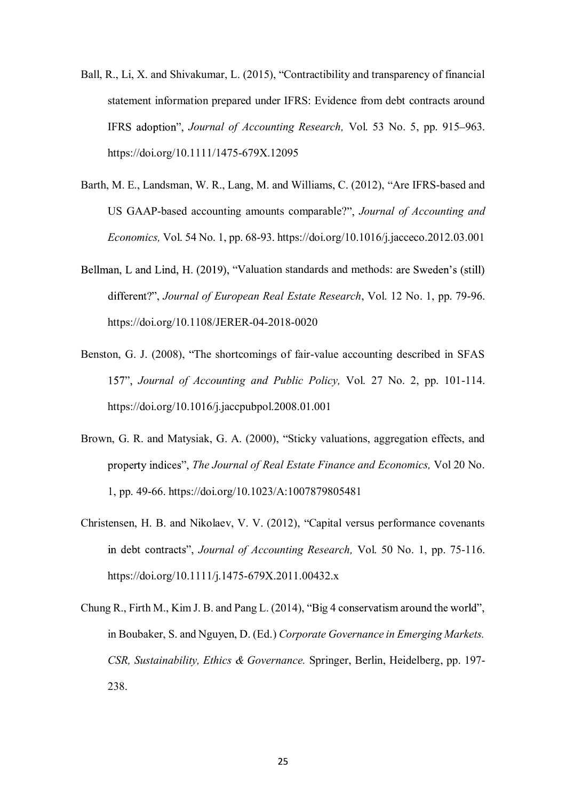- Ball, R., Li, X. and Shivakumar, L. (2015), "Contractibility and transparency of financial statement information prepared under IFRS: Evidence from debt contracts around IFRS adoption", *Journal of Accounting Research*, Vol. 53 No. 5, pp. 915–963. https://doi.org/10.1111/1475-679X.12095
- Barth, M. E., Landsman, W. R., Lang, M. and Williams, C. (2012), "Are IFRS-based and US GAAP-based accounting amounts comparable? *Journal of Accounting and Economics,* Vol. 54 No. 1, pp. 68-93. https://doi.org/10.1016/j.jacceco.2012.03.001
- Bellman, L and Lind, H. (2019), "Valuation standards and methods: are Sweden's (still) , *Journal of European Real Estate Research*, Vol. 12 No. 1, pp. 79-96. https://doi.org/10.1108/JERER-04-2018-0020
- Benston, G. J. (2008), "The shortcomings of fair-value accounting described in SFAS *Journal of Accounting and Public Policy,* Vol. 27 No. 2, pp. 101-114. https://doi.org/10.1016/j.jaccpubpol.2008.01.001
- Brown, G. R. and Matysiak, G. A. (2000), "Sticky valuations, aggregation effects, and *The Journal of Real Estate Finance and Economics,* Vol 20 No. 1, pp. 49-66. https://doi.org/10.1023/A:1007879805481
- Christensen, H. B. and Nikolaev, V. V. (2012), "Capital versus performance covenants in debt contracts", *Journal of Accounting Research*, Vol. 50 No. 1, pp. 75-116. https://doi.org/10.1111/j.1475-679X.2011.00432.x
- Chung R., Firth M., Kim J. B. and Pang L.  $(2014)$ , "Big 4 conservatism around the world", in Boubaker, S. and Nguyen, D. (Ed.) *Corporate Governance in Emerging Markets. CSR, Sustainability, Ethics & Governance.* Springer, Berlin, Heidelberg, pp. 197- 238.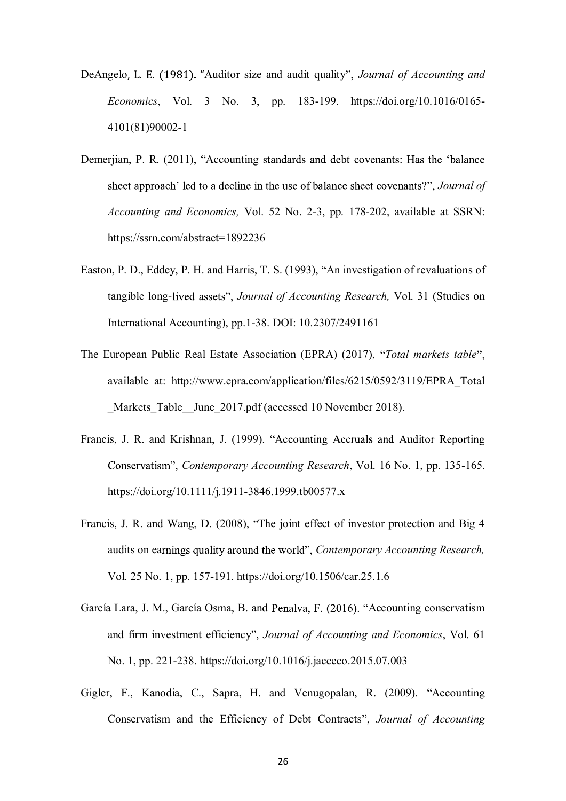- DeAngelo, L. E. (1981). "Auditor size and audit quality", *Journal of Accounting and Economics*, Vol. 3 No. 3, pp. 183-199. https://doi.org/10.1016/0165- 4101(81)90002-1
- Demerjian, P. R. (2011), "Accounting standards and debt covenants: Has the 'balance sheet approach' led to a decline in the use of balance sheet covenants?", *Journal of Accounting and Economics,* Vol. 52 No. 2-3, pp. 178-202, available at SSRN: https://ssrn.com/abstract=1892236
- Easton, P. D., Eddey, P. H. and Harris, T. S. (1993), "An investigation of revaluations of tangible long-lived assets", *Journal of Accounting Research*, Vol. 31 (Studies on International Accounting), pp.1-38. DOI: 10.2307/2491161
- The European Public Real Estate Association (EPRA) (2017), *Total markets table* available at: http://www.epra.com/application/files/6215/0592/3119/EPRA\_Total Markets Table June 2017.pdf (accessed 10 November 2018).
- Francis, J. R. and Krishnan, J. (1999). "Accounting Accruals and Auditor Reporting *Contemporary Accounting Research*, Vol. 16 No. 1, pp. 135-165. https://doi.org/10.1111/j.1911-3846.1999.tb00577.x
- Francis, J. R. and Wang, D. (2008), "The joint effect of investor protection and Big 4 audits on earnings quality around the world", Contemporary Accounting Research, Vol. 25 No. 1, pp. 157-191. https://doi.org/10.1506/car.25.1.6
- García Lara, J. M., García Osma, B. and Penalva, F. (2016). "Accounting conservatism and firm investment efficiency", *Journal of Accounting and Economics*, Vol. 61 No. 1, pp. 221-238. https://doi.org/10.1016/j.jacceco.2015.07.003
- Gigler, F., Kanodia, C., Sapra, H. and Venugopalan, R. (2009). "Accounting Conservatism and the Efficiency of Debt Contracts *Journal of Accounting*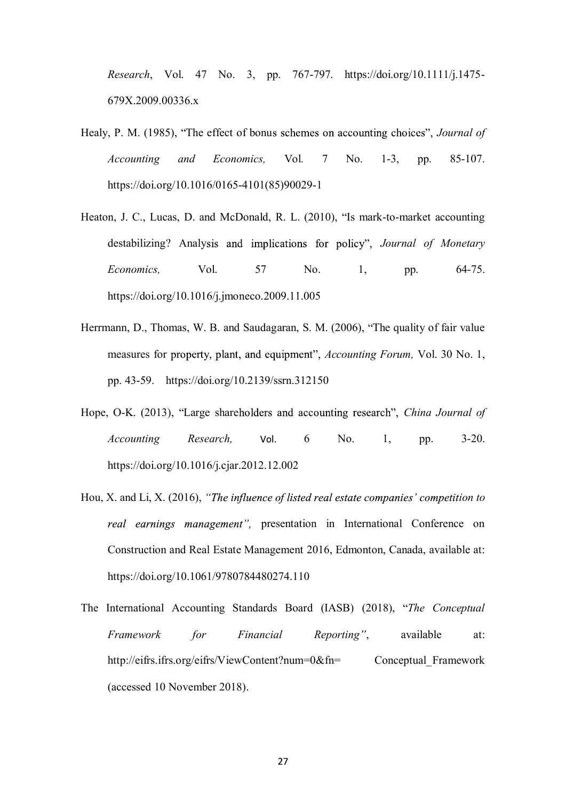*Research*, Vol. 47 No. 3, pp. 767-797. https://doi.org/10.1111/j.1475- 679X.2009.00336.x

- Healy, P. M. (1985), "The effect of bonus schemes on accounting choices", *Journal of Accounting and Economics,* Vol. 7 No. 1-3, pp. 85-107. https://doi.org/10.1016/0165-4101(85)90029-1
- Heaton, J. C., Lucas, D. and McDonald, R. L. (2010), "Is mark-to-market accounting destabilizing? Analysis and implications for policy", Journal of Monetary *Economics*, Vol. 57 No. 1, pp. 64-75. https://doi.org/10.1016/j.jmoneco.2009.11.005
- Herrmann, D., Thomas, W. B. and Saudagaran, S. M. (2006), "The quality of fair value measures for property, plant, and equipment", *Accounting Forum*, Vol. 30 No. 1, pp. 43-59. https://doi.org/10.2139/ssrn.312150
- Hope, O-K. (2013), "Large shareholders and accounting research", *China Journal of Accounting Research*, Vol. 6 No. 1, pp. 3-20. https://doi.org/10.1016/j.cjar.2012.12.002
- Hou, X. and Li, X. (2016), "The influence of listed real estate companies' competition to real earnings management", presentation in International Conference on Construction and Real Estate Management 2016, Edmonton, Canada, available at: https://doi.org/10.1061/9780784480274.110
- The International Accounting Standards Board (IASB) (2018), *The Conceptual Framework for Financial Reporting*", available at: http://eifrs.ifrs.org/eifrs/ViewContent?num=0&fn= Conceptual Framework (accessed 10 November 2018).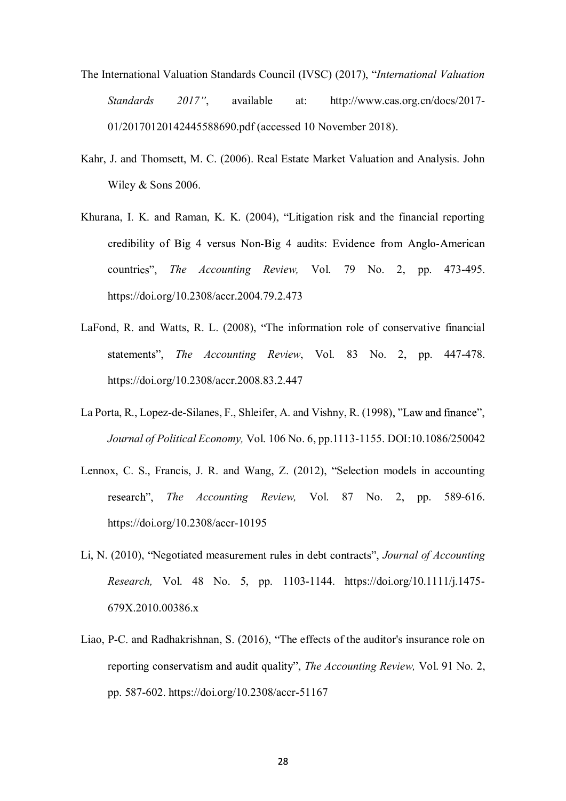- The International Valuation Standards Council (IVSC) (2017), *International Valuation Standards 2017* , available at: http://www.cas.org.cn/docs/2017- 01/20170120142445588690.pdf (accessed 10 November 2018).
- Kahr, J. and Thomsett, M. C. (2006). Real Estate Market Valuation and Analysis. John Wiley & Sons 2006.
- Khurana, I. K. and Raman, K. K. (2004), "Litigation risk and the financial reporting credibility of Big 4 versus Non-Big 4 audits: Evidence from Anglo-American countries", *The Accounting Review*, Vol. 79 No. 2, pp. 473-495. https://doi.org/10.2308/accr.2004.79.2.473
- LaFond, R. and Watts, R. L. (2008), "The information role of conservative financial *The Accounting Review*, Vol. 83 No. 2, pp. 447-478. https://doi.org/10.2308/accr.2008.83.2.447
- La Porta, R., Lopez-de-Silanes, F., Shleifer, A. and Vishny, R. (1998), "Law and finance", *Journal of Political Economy,* Vol. 106 No. 6, pp.1113-1155. DOI:10.1086/250042
- Lennox, C. S., Francis, J. R. and Wang, Z. (2012), "Selection models in accounting *The Accounting Review,* Vol. 87 No. 2, pp. 589-616. https://doi.org/10.2308/accr-10195
- Li, N. (2010), "Negotiated measurement rules in debt contracts", *Journal of Accounting Research,* Vol. 48 No. 5, pp. 1103-1144. https://doi.org/10.1111/j.1475- 679X.2010.00386.x
- Liao, P-C. and Radhakrishnan, S. (2016), "The effects of the auditor's insurance role on reporting conservatism and audit quality", *The Accounting Review*, Vol. 91 No. 2, pp. 587-602. https://doi.org/10.2308/accr-51167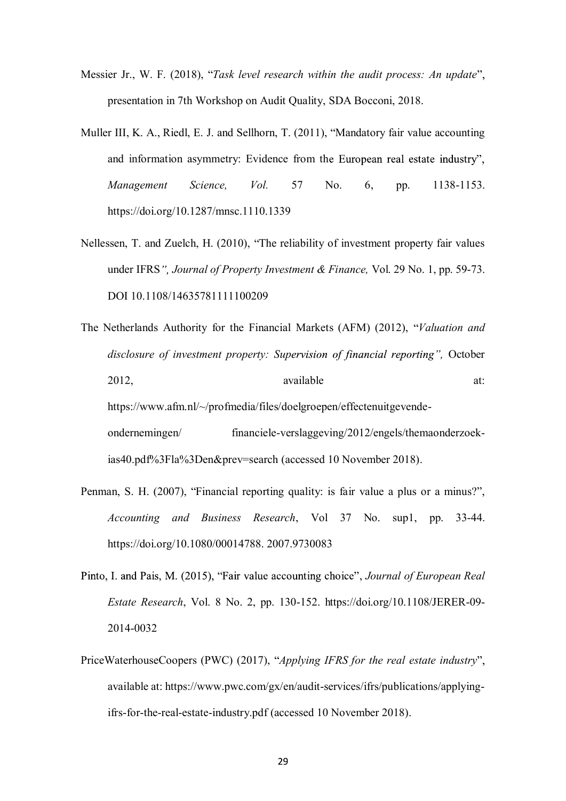- Messier Jr., W. F. (2018), "Task level research within the audit process: An update", presentation in 7th Workshop on Audit Quality, SDA Bocconi, 2018.
- Muller III, K. A., Riedl, E. J. and Sellhorn, T. (2011), "Mandatory fair value accounting and information asymmetry: Evidence from the European real estate industry", *Management Science, Vol.* 57 No. 6, pp. 1138-1153. https://doi.org/10.1287/mnsc.1110.1339
- Nellessen, T. and Zuelch, H. (2010), "The reliability of investment property fair values under IFRS *Journal of Property Investment & Finance,* Vol. 29 No. 1, pp. 59-73. DOI 10.1108/14635781111100209
- The Netherlands Authority for the Financial Markets (AFM) (2012), *Valuation and disclosure of investment property: Supervision of financial reporting"*, October 2012, available at: https://www.afm.nl/~/profmedia/files/doelgroepen/effectenuitgevendeondernemingen/ financiele-verslaggeving/2012/engels/themaonderzoekias40.pdf%3Fla%3Den&prev=search (accessed 10 November 2018).
- Penman, S. H. (2007), "Financial reporting quality: is fair value a plus or a minus?", *Accounting and Business Research*, Vol 37 No. sup1, pp. 33-44. https://doi.org/10.1080/00014788. 2007.9730083
- Pinto, I. and Pais, M. (2015), "Fair value accounting choice", Journal of European Real *Estate Research*, Vol. 8 No. 2, pp. 130-152. https://doi.org/10.1108/JERER-09- 2014-0032
- PriceWaterhouseCoopers (PWC) (2017), "*Applying IFRS for the real estate industry*", available at: https://www.pwc.com/gx/en/audit-services/ifrs/publications/applyingifrs-for-the-real-estate-industry.pdf (accessed 10 November 2018).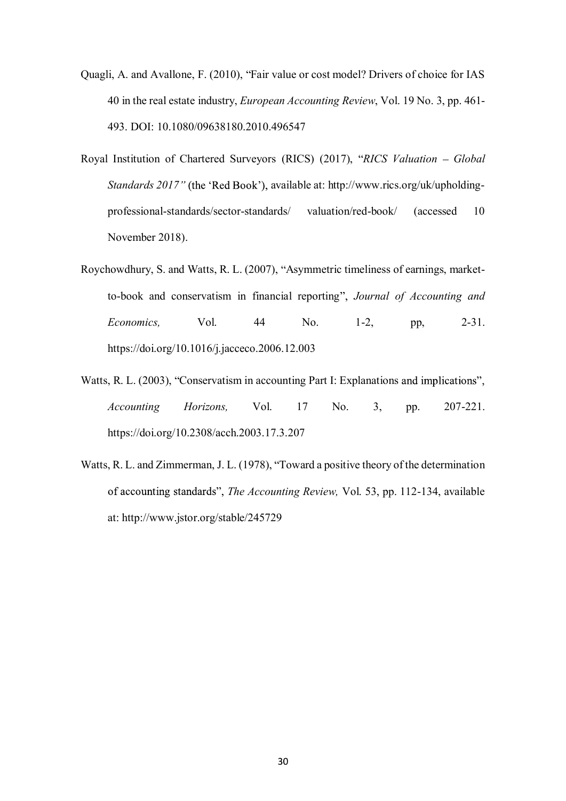- Quagli, A. and Avallone, F. (2010), "Fair value or cost model? Drivers of choice for IAS 40 in the real estate industry, *European Accounting Review*, Vol. 19 No. 3, pp. 461- 493. DOI: 10.1080/09638180.2010.496547
- Royal Institution of Chartered Surveyors (RICS) (2017), "RICS Valuation Global *Standards 2017"* (the 'Red Book'), available at: http://www.rics.org/uk/upholdingprofessional-standards/sector-standards/ valuation/red-book/ (accessed 10 November 2018).
- Roychowdhury, S. and Watts, R. L. (2007), "Asymmetric timeliness of earnings, marketto-book and conservatism in financial reporting *Journal of Accounting and Economics,* Vol. 44 No. 1-2, pp, 2-31. https://doi.org/10.1016/j.jacceco.2006.12.003
- Watts, R. L. (2003), "Conservatism in accounting Part I: Explanations and implications", *Accounting Horizons,* Vol. 17 No. 3, pp. 207-221. https://doi.org/10.2308/acch.2003.17.3.207
- Watts, R. L. and Zimmerman, J. L. (1978), "Toward a positive theory of the determination of accounting standards", *The Accounting Review*, Vol. 53, pp. 112-134, available at: http://www.jstor.org/stable/245729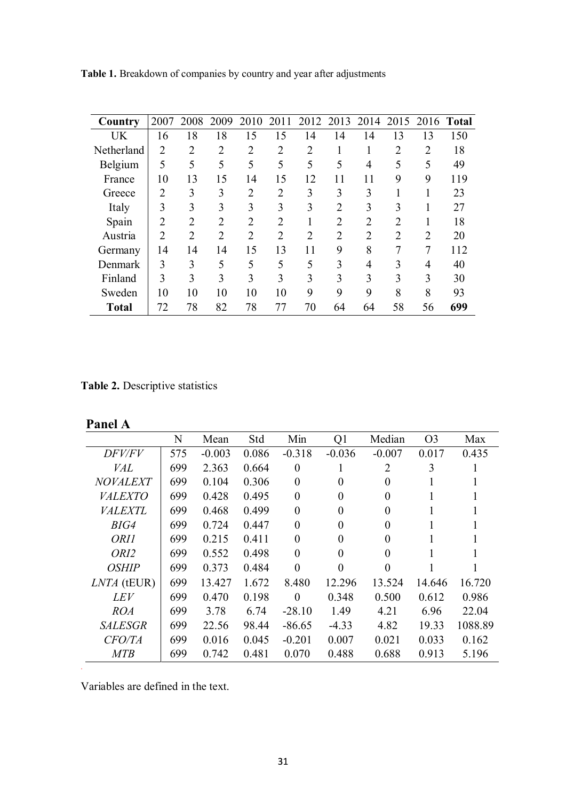| Country      | 2007           | 2008           | 2009           | 2010           | 2011           | 2012           | 2013           |                |                |                | 2014 2015 2016 Total |
|--------------|----------------|----------------|----------------|----------------|----------------|----------------|----------------|----------------|----------------|----------------|----------------------|
| UK           | 16             | 18             | 18             | 15             | 15             | 14             | 14             | 14             | 13             | 13             | 150                  |
| Netherland   | $\overline{2}$ | $\overline{2}$ | $\overline{2}$ | $\overline{2}$ | $\overline{2}$ | $\overline{2}$ | 1              |                | $\overline{2}$ | $\overline{2}$ | 18                   |
| Belgium      | 5              | 5              | 5              | 5              | 5              | 5              | 5              | $\overline{4}$ | 5              | 5              | 49                   |
| France       | 10             | 13             | 15             | 14             | 15             | 12             | 11             | 11             | 9              | 9              | 119                  |
| Greece       | $\overline{2}$ | 3              | 3              | $\overline{2}$ | $\overline{2}$ | 3              | 3              | 3              | п              |                | 23                   |
| Italy        | 3              | 3              | 3              | 3              | 3              | 3              | $\overline{2}$ | 3              | 3              |                | 27                   |
| Spain        | $\overline{2}$ | 2              | $\overline{2}$ | $\overline{2}$ | 2              |                | $\overline{2}$ | $\overline{2}$ | $\overline{2}$ |                | 18                   |
| Austria      | $\overline{2}$ | $\overline{2}$ | $\overline{2}$ | $\overline{2}$ | 2              | $\overline{2}$ | $\overline{2}$ | $\overline{2}$ | $\overline{2}$ | $\overline{2}$ | 20                   |
| Germany      | 14             | 14             | 14             | 15             | 13             | 11             | 9              | 8              | 7              | 7              | 112                  |
| Denmark      | 3              | 3              | 5              | 5              | 5              | 5              | 3              | $\overline{4}$ | 3              | 4              | 40                   |
| Finland      | 3              | 3              | 3              | 3              | 3              | 3              | 3              | 3              | 3              | 3              | 30                   |
| Sweden       | 10             | 10             | 10             | 10             | 10             | 9              | 9              | 9              | 8              | 8              | 93                   |
| <b>Total</b> | 72             | 78             | 82             | 78             | 77             | 70             | 64             | 64             | 58             | 56             | 699                  |

**Table 1.** Breakdown of companies by country and year after adjustments

**Table 2.** Descriptive statistics

.

|                     | N   | Mean     | Std   | Min              | Q <sub>1</sub>   | Median         | O <sub>3</sub> | Max     |
|---------------------|-----|----------|-------|------------------|------------------|----------------|----------------|---------|
| DFV/FV              | 575 | $-0.003$ | 0.086 | $-0.318$         | $-0.036$         | $-0.007$       | 0.017          | 0.435   |
| VAL                 | 699 | 2.363    | 0.664 | $\boldsymbol{0}$ | 1                | $\overline{2}$ | 3              |         |
| <i>NOVALEXT</i>     | 699 | 0.104    | 0.306 | $\boldsymbol{0}$ | 0                | 0              |                |         |
| <b>VALEXTO</b>      | 699 | 0.428    | 0.495 | $\overline{0}$   | $\theta$         | 0              |                |         |
| <i>VALEXTL</i>      | 699 | 0.468    | 0.499 | 0                | $\boldsymbol{0}$ | $\theta$       |                |         |
| BIG4                | 699 | 0.724    | 0.447 | $\overline{0}$   | 0                | 0              |                |         |
| ORII                | 699 | 0.215    | 0.411 | $\overline{0}$   | 0                | 0              |                |         |
| ORI2                | 699 | 0.552    | 0.498 | $\overline{0}$   | 0                | $\theta$       |                |         |
| <i><b>OSHIP</b></i> | 699 | 0.373    | 0.484 | $\theta$         | 0                | $\theta$       |                |         |
| LNTA (tEUR)         | 699 | 13.427   | 1.672 | 8.480            | 12.296           | 13.524         | 14.646         | 16.720  |
| <i>LEV</i>          | 699 | 0.470    | 0.198 | $\theta$         | 0.348            | 0.500          | 0.612          | 0.986   |
| <b>ROA</b>          | 699 | 3.78     | 6.74  | $-28.10$         | 1.49             | 4.21           | 6.96           | 22.04   |
| <b>SALESGR</b>      | 699 | 22.56    | 98.44 | $-86.65$         | $-4.33$          | 4.82           | 19.33          | 1088.89 |
| CFO/TA              | 699 | 0.016    | 0.045 | $-0.201$         | 0.007            | 0.021          | 0.033          | 0.162   |
| <b>MTB</b>          | 699 | 0.742    | 0.481 | 0.070            | 0.488            | 0.688          | 0.913          | 5.196   |

Variables are defined in the text.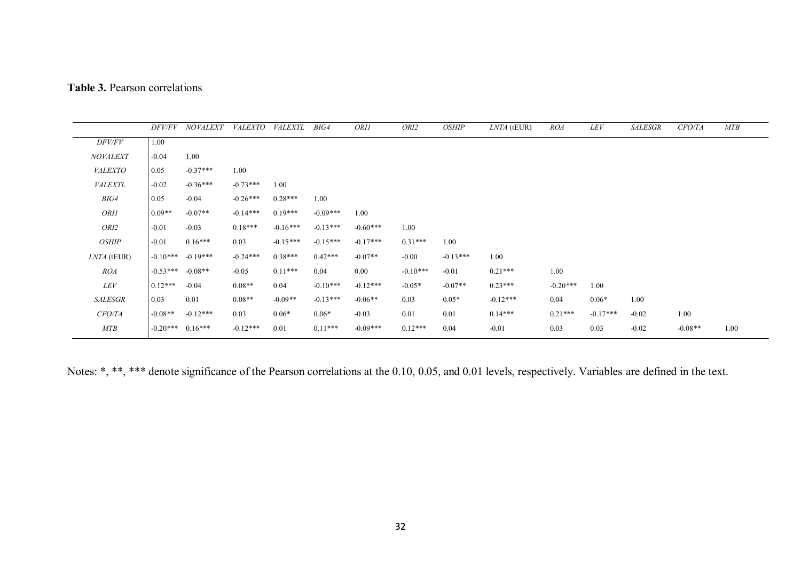|                 | DFV/FV     | <b>NOVALEXT</b> | <i>VALEXTO</i> | <b>VALEXTL</b> | BIG4       | ORI1       | ORI2       | <b>OSHIP</b> | LNTA (tEUR) | <i>ROA</i> | LEV        | <b>SALESGR</b> | CFO/TA    | MTB  |
|-----------------|------------|-----------------|----------------|----------------|------------|------------|------------|--------------|-------------|------------|------------|----------------|-----------|------|
| <i>DFV/FV</i>   | 1.00       |                 |                |                |            |            |            |              |             |            |            |                |           |      |
| <b>NOVALEXT</b> | $-0.04$    | 1.00            |                |                |            |            |            |              |             |            |            |                |           |      |
| <i>VALEXTO</i>  | 0.05       | $-0.37***$      | 1.00           |                |            |            |            |              |             |            |            |                |           |      |
| <b>VALEXTL</b>  | $-0.02$    | $-0.36***$      | $-0.73***$     | 1.00           |            |            |            |              |             |            |            |                |           |      |
| BIG4            | 0.05       | $-0.04$         | $-0.26***$     | $0.28***$      | 1.00       |            |            |              |             |            |            |                |           |      |
| <b>ORII</b>     | $0.09**$   | $-0.07**$       | $-0.14***$     | $0.19***$      | $-0.09***$ | 1.00       |            |              |             |            |            |                |           |      |
| ORI2            | $-0.01$    | $-0.03$         | $0.18***$      | $-0.16***$     | $-0.13***$ | $-0.60***$ | 1.00       |              |             |            |            |                |           |      |
| <b>OSHIP</b>    | $-0.01$    | $0.16***$       | 0.03           | $-0.15***$     | $-0.15***$ | $-0.17***$ | $0.31***$  | 1.00         |             |            |            |                |           |      |
| LNTA (tEUR)     | $-0.10***$ | $-0.19***$      | $-0.24***$     | $0.38***$      | $0.42***$  | $-0.07**$  | $-0.00$    | $-0.13***$   | 1.00        |            |            |                |           |      |
| <b>ROA</b>      | $-0.53***$ | $-0.08**$       | $-0.05$        | $0.11***$      | 0.04       | 0.00       | $-0.10***$ | $-0.01$      | $0.21***$   | 1.00       |            |                |           |      |
| LEV             | $0.12***$  | $-0.04$         | $0.08**$       | 0.04           | $-0.10***$ | $-0.12***$ | $-0.05*$   | $-0.07**$    | $0.23***$   | $-0.20***$ | 1.00       |                |           |      |
| <b>SALESGR</b>  | 0.03       | 0.01            | $0.08**$       | $-0.09**$      | $-0.13***$ | $-0.06**$  | 0.03       | $0.05*$      | $-0.12***$  | 0.04       | $0.06*$    | 1.00           |           |      |
| <b>CFO/TA</b>   | $-0.08**$  | $-0.12***$      | 0.03           | $0.06*$        | $0.06*$    | $-0.03$    | 0.01       | 0.01         | $0.14***$   | $0.21***$  | $-0.17***$ | $-0.02$        | 1.00      |      |
| <b>MTB</b>      | $-0.20***$ | $0.16***$       | $-0.12***$     | 0.01           | $0.11***$  | $-0.09***$ | $0.12***$  | 0.04         | $-0.01$     | 0.03       | 0.03       | $-0.02$        | $-0.08**$ | 1.00 |

Notes: \*, \*\*, \*\*\* denote significance of the Pearson correlations at the 0.10, 0.05, and 0.01 levels, respectively. Variables are defined in the text.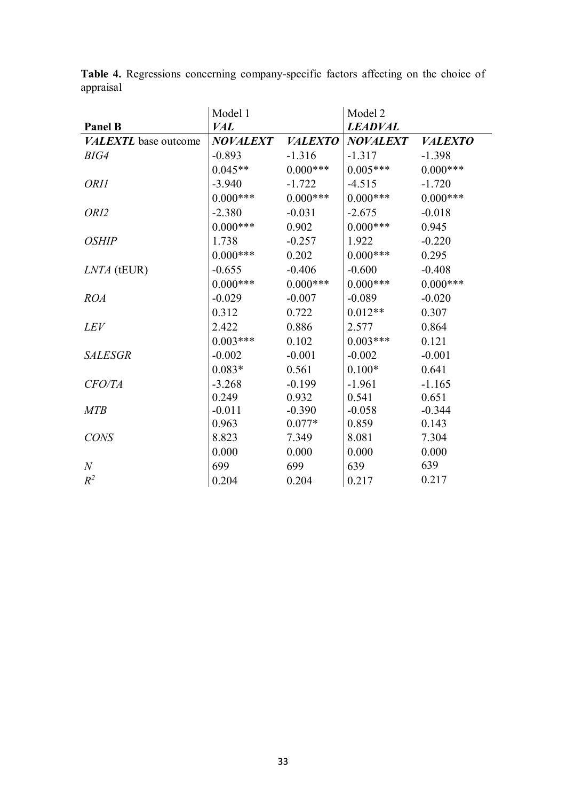|                      | Model 1         |                | Model 2         |                |
|----------------------|-----------------|----------------|-----------------|----------------|
| <b>Panel B</b>       | <b>VAL</b>      |                | <b>LEADVAL</b>  |                |
| VALEXTL base outcome | <b>NOVALEXT</b> | <b>VALEXTO</b> | <b>NOVALEXT</b> | <b>VALEXTO</b> |
| BIG4                 | $-0.893$        | $-1.316$       | $-1.317$        | $-1.398$       |
|                      | $0.045**$       | $0.000$ ***    | $0.005***$      | $0.000***$     |
| <b>ORI1</b>          | $-3.940$        | $-1.722$       | $-4.515$        | $-1.720$       |
|                      | $0.000***$      | $0.000***$     | $0.000***$      | $0.000***$     |
| ORI2                 | $-2.380$        | $-0.031$       | $-2.675$        | $-0.018$       |
|                      | $0.000***$      | 0.902          | $0.000***$      | 0.945          |
| <b>OSHIP</b>         | 1.738           | $-0.257$       | 1.922           | $-0.220$       |
|                      | $0.000***$      | 0.202          | $0.000***$      | 0.295          |
| LNTA (tEUR)          | $-0.655$        | $-0.406$       | $-0.600$        | $-0.408$       |
|                      | $0.000***$      | $0.000***$     | $0.000***$      | $0.000***$     |
| <b>ROA</b>           | $-0.029$        | $-0.007$       | $-0.089$        | $-0.020$       |
|                      | 0.312           | 0.722          | $0.012**$       | 0.307          |
| <b>LEV</b>           | 2.422           | 0.886          | 2.577           | 0.864          |
|                      | $0.003***$      | 0.102          | $0.003***$      | 0.121          |
| <b>SALESGR</b>       | $-0.002$        | $-0.001$       | $-0.002$        | $-0.001$       |
|                      | $0.083*$        | 0.561          | $0.100*$        | 0.641          |
| CFO/TA               | $-3.268$        | $-0.199$       | $-1.961$        | $-1.165$       |
|                      | 0.249           | 0.932          | 0.541           | 0.651          |
| <b>MTB</b>           | $-0.011$        | $-0.390$       | $-0.058$        | $-0.344$       |
|                      | 0.963           | $0.077*$       | 0.859           | 0.143          |
| <b>CONS</b>          | 8.823           | 7.349          | 8.081           | 7.304          |
|                      | 0.000           | 0.000          | 0.000           | 0.000          |
| $\boldsymbol{N}$     | 699             | 699            | 639             | 639            |
| $R^2$                | 0.204           | 0.204          | 0.217           | 0.217          |

**Table 4.** Regressions concerning company-specific factors affecting on the choice of appraisal